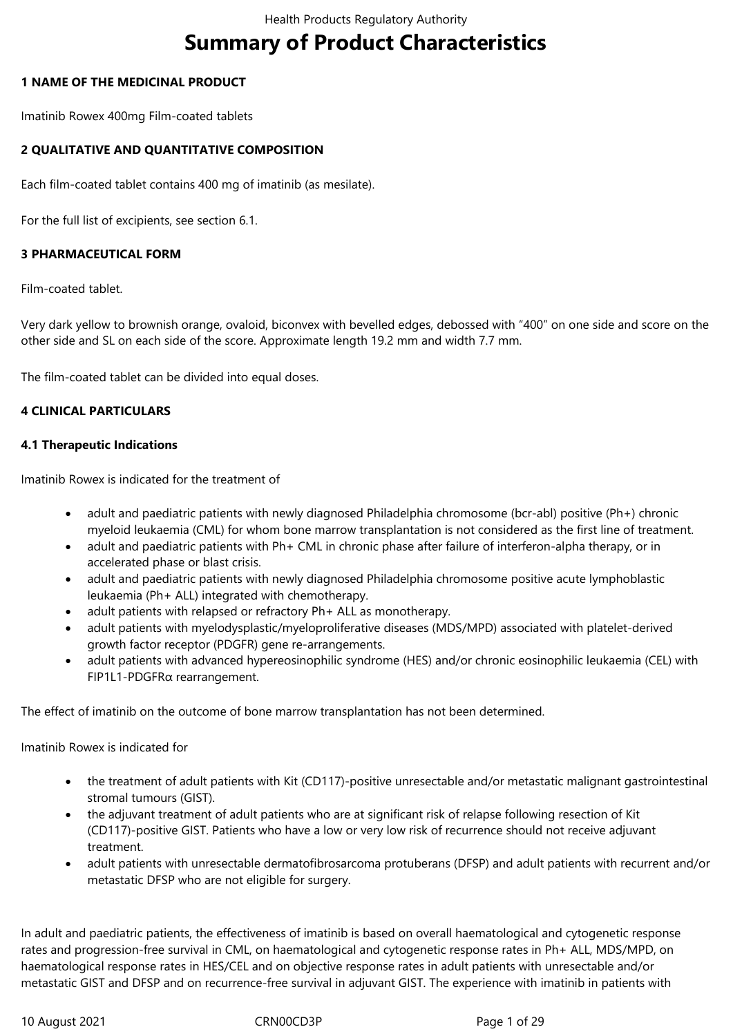# **Summary of Product Characteristics**

## **1 NAME OF THE MEDICINAL PRODUCT**

Imatinib Rowex 400mg Film-coated tablets

## **2 QUALITATIVE AND QUANTITATIVE COMPOSITION**

Each film-coated tablet contains 400 mg of imatinib (as mesilate).

For the full list of excipients, see section 6.1.

## **3 PHARMACEUTICAL FORM**

Film-coated tablet.

Very dark yellow to brownish orange, ovaloid, biconvex with bevelled edges, debossed with "400" on one side and score on the other side and SL on each side of the score. Approximate length 19.2 mm and width 7.7 mm.

The film-coated tablet can be divided into equal doses.

## **4 CLINICAL PARTICULARS**

## **4.1 Therapeutic Indications**

Imatinib Rowex is indicated for the treatment of

- adult and paediatric patients with newly diagnosed Philadelphia chromosome (bcr-abl) positive (Ph+) chronic myeloid leukaemia (CML) for whom bone marrow transplantation is not considered as the first line of treatment.
- adult and paediatric patients with Ph+ CML in chronic phase after failure of interferon-alpha therapy, or in accelerated phase or blast crisis.
- adult and paediatric patients with newly diagnosed Philadelphia chromosome positive acute lymphoblastic leukaemia (Ph+ ALL) integrated with chemotherapy.
- adult patients with relapsed or refractory Ph+ ALL as monotherapy.
- adult patients with myelodysplastic/myeloproliferative diseases (MDS/MPD) associated with platelet-derived growth factor receptor (PDGFR) gene re-arrangements.
- adult patients with advanced hypereosinophilic syndrome (HES) and/or chronic eosinophilic leukaemia (CEL) with FIP1L1-PDGFRα rearrangement.

The effect of imatinib on the outcome of bone marrow transplantation has not been determined.

Imatinib Rowex is indicated for

- the treatment of adult patients with Kit (CD117)-positive unresectable and/or metastatic malignant gastrointestinal stromal tumours (GIST).
- the adjuvant treatment of adult patients who are at significant risk of relapse following resection of Kit (CD117)-positive GIST. Patients who have a low or very low risk of recurrence should not receive adjuvant treatment.
- adult patients with unresectable dermatofibrosarcoma protuberans (DFSP) and adult patients with recurrent and/or metastatic DFSP who are not eligible for surgery.

In adult and paediatric patients, the effectiveness of imatinib is based on overall haematological and cytogenetic response rates and progression-free survival in CML, on haematological and cytogenetic response rates in Ph+ ALL, MDS/MPD, on haematological response rates in HES/CEL and on objective response rates in adult patients with unresectable and/or metastatic GIST and DFSP and on recurrence-free survival in adjuvant GIST. The experience with imatinib in patients with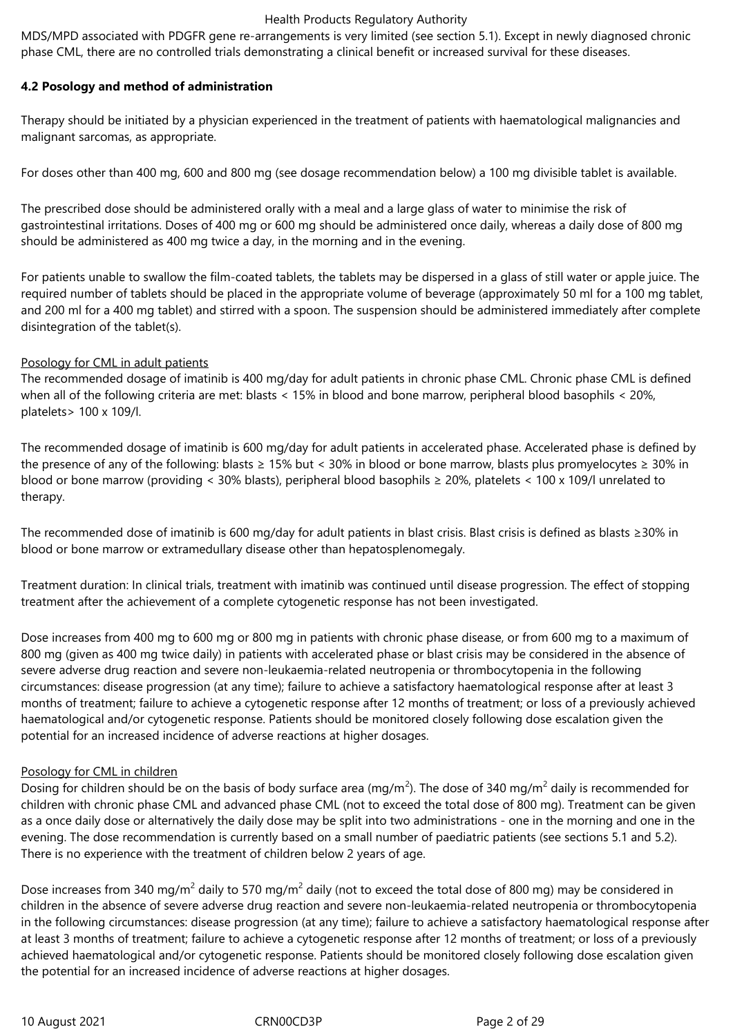MDS/MPD associated with PDGFR gene re-arrangements is very limited (see section 5.1). Except in newly diagnosed chronic phase CML, there are no controlled trials demonstrating a clinical benefit or increased survival for these diseases.

## **4.2 Posology and method of administration**

Therapy should be initiated by a physician experienced in the treatment of patients with haematological malignancies and malignant sarcomas, as appropriate.

For doses other than 400 mg, 600 and 800 mg (see dosage recommendation below) a 100 mg divisible tablet is available.

The prescribed dose should be administered orally with a meal and a large glass of water to minimise the risk of gastrointestinal irritations. Doses of 400 mg or 600 mg should be administered once daily, whereas a daily dose of 800 mg should be administered as 400 mg twice a day, in the morning and in the evening.

For patients unable to swallow the film-coated tablets, the tablets may be dispersed in a glass of still water or apple juice. The required number of tablets should be placed in the appropriate volume of beverage (approximately 50 ml for a 100 mg tablet, and 200 ml for a 400 mg tablet) and stirred with a spoon. The suspension should be administered immediately after complete disintegration of the tablet(s).

## Posology for CML in adult patients

The recommended dosage of imatinib is 400 mg/day for adult patients in chronic phase CML. Chronic phase CML is defined when all of the following criteria are met: blasts < 15% in blood and bone marrow, peripheral blood basophils < 20%, platelets> 100 x 109/l.

The recommended dosage of imatinib is 600 mg/day for adult patients in accelerated phase. Accelerated phase is defined by the presence of any of the following: blasts ≥ 15% but < 30% in blood or bone marrow, blasts plus promyelocytes ≥ 30% in blood or bone marrow (providing < 30% blasts), peripheral blood basophils ≥ 20%, platelets < 100 x 109/l unrelated to therapy.

The recommended dose of imatinib is 600 mg/day for adult patients in blast crisis. Blast crisis is defined as blasts ≥30% in blood or bone marrow or extramedullary disease other than hepatosplenomegaly.

Treatment duration: In clinical trials, treatment with imatinib was continued until disease progression. The effect of stopping treatment after the achievement of a complete cytogenetic response has not been investigated.

Dose increases from 400 mg to 600 mg or 800 mg in patients with chronic phase disease, or from 600 mg to a maximum of 800 mg (given as 400 mg twice daily) in patients with accelerated phase or blast crisis may be considered in the absence of severe adverse drug reaction and severe non-leukaemia-related neutropenia or thrombocytopenia in the following circumstances: disease progression (at any time); failure to achieve a satisfactory haematological response after at least 3 months of treatment; failure to achieve a cytogenetic response after 12 months of treatment; or loss of a previously achieved haematological and/or cytogenetic response. Patients should be monitored closely following dose escalation given the potential for an increased incidence of adverse reactions at higher dosages.

#### Posology for CML in children

Dosing for children should be on the basis of body surface area (mg/m<sup>2</sup>). The dose of 340 mg/m<sup>2</sup> daily is recommended for children with chronic phase CML and advanced phase CML (not to exceed the total dose of 800 mg). Treatment can be given as a once daily dose or alternatively the daily dose may be split into two administrations - one in the morning and one in the evening. The dose recommendation is currently based on a small number of paediatric patients (see sections 5.1 and 5.2). There is no experience with the treatment of children below 2 years of age.

Dose increases from 340 mg/m<sup>2</sup> daily to 570 mg/m<sup>2</sup> daily (not to exceed the total dose of 800 mg) may be considered in children in the absence of severe adverse drug reaction and severe non-leukaemia-related neutropenia or thrombocytopenia in the following circumstances: disease progression (at any time); failure to achieve a satisfactory haematological response after at least 3 months of treatment; failure to achieve a cytogenetic response after 12 months of treatment; or loss of a previously achieved haematological and/or cytogenetic response. Patients should be monitored closely following dose escalation given the potential for an increased incidence of adverse reactions at higher dosages.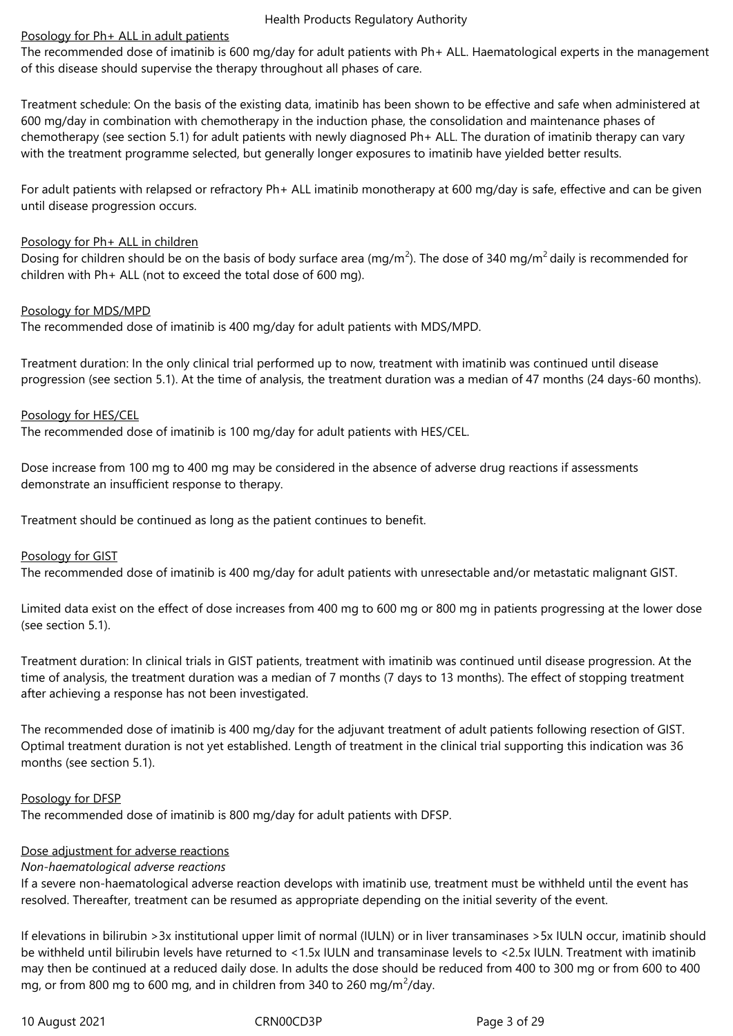#### Posology for Ph+ ALL in adult patients

The recommended dose of imatinib is 600 mg/day for adult patients with Ph+ ALL. Haematological experts in the management of this disease should supervise the therapy throughout all phases of care.

Treatment schedule: On the basis of the existing data, imatinib has been shown to be effective and safe when administered at 600 mg/day in combination with chemotherapy in the induction phase, the consolidation and maintenance phases of chemotherapy (see section 5.1) for adult patients with newly diagnosed Ph+ ALL. The duration of imatinib therapy can vary with the treatment programme selected, but generally longer exposures to imatinib have yielded better results.

For adult patients with relapsed or refractory Ph+ ALL imatinib monotherapy at 600 mg/day is safe, effective and can be given until disease progression occurs.

## Posology for Ph+ ALL in children

Dosing for children should be on the basis of body surface area (mg/m<sup>2</sup>). The dose of 340 mg/m<sup>2</sup> daily is recommended for children with Ph+ ALL (not to exceed the total dose of 600 mg).

## Posology for MDS/MPD

The recommended dose of imatinib is 400 mg/day for adult patients with MDS/MPD.

Treatment duration: In the only clinical trial performed up to now, treatment with imatinib was continued until disease progression (see section 5.1). At the time of analysis, the treatment duration was a median of 47 months (24 days-60 months).

## Posology for HES/CEL

The recommended dose of imatinib is 100 mg/day for adult patients with HES/CEL.

Dose increase from 100 mg to 400 mg may be considered in the absence of adverse drug reactions if assessments demonstrate an insufficient response to therapy.

Treatment should be continued as long as the patient continues to benefit.

#### Posology for GIST

The recommended dose of imatinib is 400 mg/day for adult patients with unresectable and/or metastatic malignant GIST.

Limited data exist on the effect of dose increases from 400 mg to 600 mg or 800 mg in patients progressing at the lower dose (see section 5.1).

Treatment duration: In clinical trials in GIST patients, treatment with imatinib was continued until disease progression. At the time of analysis, the treatment duration was a median of 7 months (7 days to 13 months). The effect of stopping treatment after achieving a response has not been investigated.

The recommended dose of imatinib is 400 mg/day for the adjuvant treatment of adult patients following resection of GIST. Optimal treatment duration is not yet established. Length of treatment in the clinical trial supporting this indication was 36 months (see section 5.1).

## Posology for DFSP

The recommended dose of imatinib is 800 mg/day for adult patients with DFSP.

#### Dose adjustment for adverse reactions

#### *Non-haematological adverse reactions*

If a severe non-haematological adverse reaction develops with imatinib use, treatment must be withheld until the event has resolved. Thereafter, treatment can be resumed as appropriate depending on the initial severity of the event.

If elevations in bilirubin >3x institutional upper limit of normal (IULN) or in liver transaminases >5x IULN occur, imatinib should be withheld until bilirubin levels have returned to <1.5x IULN and transaminase levels to <2.5x IULN. Treatment with imatinib may then be continued at a reduced daily dose. In adults the dose should be reduced from 400 to 300 mg or from 600 to 400 mg, or from 800 mg to 600 mg, and in children from 340 to 260 mg/m $^2$ /day.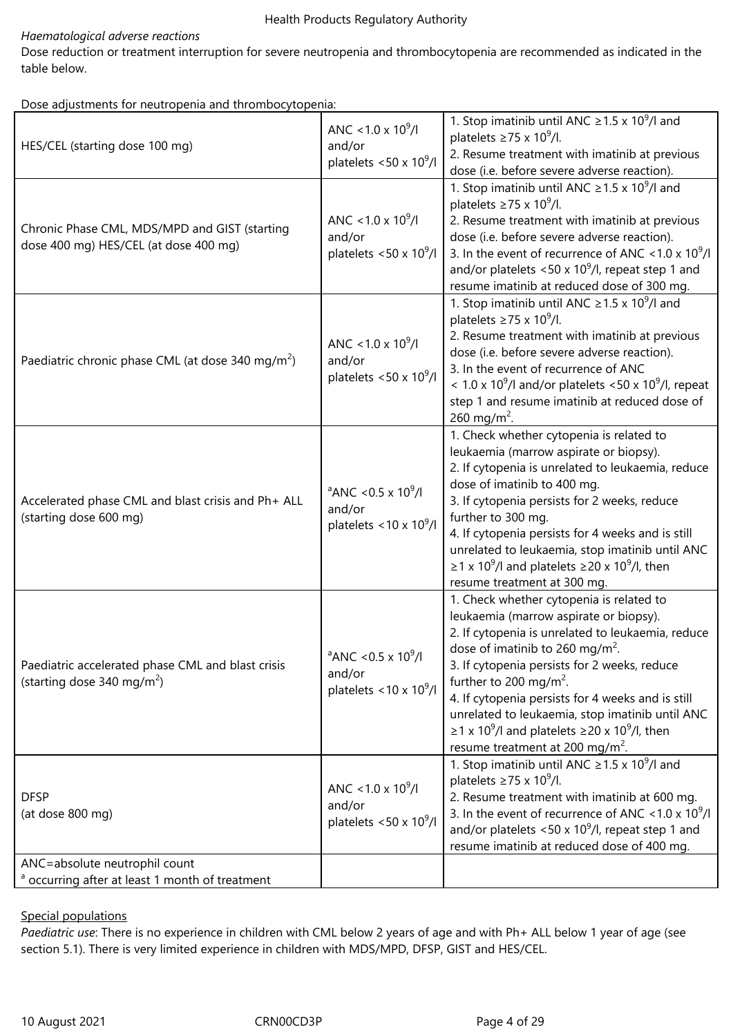## *Haematological adverse reactions*

Dose reduction or treatment interruption for severe neutropenia and thrombocytopenia are recommended as indicated in the table below.

Dose adjustments for neutropenia and thrombocytopenia:

| HES/CEL (starting dose 100 mg)                                                              | ANC < 1.0 x $10^9$ /l<br>and/or<br>platelets <50 x $10^9$ /l                          | 1. Stop imatinib until ANC $\geq$ 1.5 x 10 <sup>9</sup> /l and<br>platelets $\geq$ 75 x 10 <sup>9</sup> /l.<br>2. Resume treatment with imatinib at previous<br>dose (i.e. before severe adverse reaction).                                                                                                                                                                                                                                                                                                             |
|---------------------------------------------------------------------------------------------|---------------------------------------------------------------------------------------|-------------------------------------------------------------------------------------------------------------------------------------------------------------------------------------------------------------------------------------------------------------------------------------------------------------------------------------------------------------------------------------------------------------------------------------------------------------------------------------------------------------------------|
| Chronic Phase CML, MDS/MPD and GIST (starting<br>dose 400 mg) HES/CEL (at dose 400 mg)      | ANC < 1.0 x $10^9$ /l<br>and/or<br>platelets <50 x $10^9$ /l                          | 1. Stop imatinib until ANC $\geq$ 1.5 x 10 <sup>9</sup> /l and<br>platelets $\geq$ 75 x 10 <sup>9</sup> /l.<br>2. Resume treatment with imatinib at previous<br>dose (i.e. before severe adverse reaction).<br>3. In the event of recurrence of ANC < 1.0 x $10^9$ /l<br>and/or platelets <50 x $10^9$ /l, repeat step 1 and<br>resume imatinib at reduced dose of 300 mg.                                                                                                                                              |
| Paediatric chronic phase CML (at dose 340 mg/m <sup>2</sup> )                               | ANC < 1.0 x $10^{9}$ /l<br>and/or<br>platelets <50 x $10^9$ /l                        | 1. Stop imatinib until ANC $\geq$ 1.5 x 10 <sup>9</sup> /l and<br>platelets $\geq$ 75 x 10 <sup>9</sup> /l.<br>2. Resume treatment with imatinib at previous<br>dose (i.e. before severe adverse reaction).<br>3. In the event of recurrence of ANC<br>< 1.0 x 10 <sup>9</sup> /l and/or platelets < 50 x 10 <sup>9</sup> /l, repeat<br>step 1 and resume imatinib at reduced dose of<br>260 mg/m <sup>2</sup> .                                                                                                        |
| Accelerated phase CML and blast crisis and Ph+ ALL<br>(starting dose 600 mg)                | $^{\circ}$ ANC <0.5 x 10 <sup>9</sup> /l<br>and/or<br>platelets < $10 \times 10^9$ /l | 1. Check whether cytopenia is related to<br>leukaemia (marrow aspirate or biopsy).<br>2. If cytopenia is unrelated to leukaemia, reduce<br>dose of imatinib to 400 mg.<br>3. If cytopenia persists for 2 weeks, reduce<br>further to 300 mg.<br>4. If cytopenia persists for 4 weeks and is still<br>unrelated to leukaemia, stop imatinib until ANC<br>$\geq$ 1 x 10 <sup>9</sup> /l and platelets $\geq$ 20 x 10 <sup>9</sup> /l, then<br>resume treatment at 300 mg.                                                 |
| Paediatric accelerated phase CML and blast crisis<br>(starting dose 340 mg/m <sup>2</sup> ) | $^{\circ}$ ANC <0.5 x 10 <sup>9</sup> /l<br>and/or<br>platelets < $10 \times 10^9$ /l | 1. Check whether cytopenia is related to<br>leukaemia (marrow aspirate or biopsy).<br>2. If cytopenia is unrelated to leukaemia, reduce<br>dose of imatinib to 260 mg/m <sup>2</sup> .<br>3. If cytopenia persists for 2 weeks, reduce<br>further to 200 mg/m <sup>2</sup> .<br>4. If cytopenia persists for 4 weeks and is still<br>unrelated to leukaemia, stop imatinib until ANC<br>$\geq$ 1 x 10 <sup>9</sup> /l and platelets $\geq$ 20 x 10 <sup>9</sup> /l, then<br>resume treatment at 200 mg/m <sup>2</sup> . |
| <b>DFSP</b><br>(at dose 800 mg)                                                             | ANC < 1.0 x $10^9$ /l<br>and/or<br>platelets <50 x $10^9$ /l                          | 1. Stop imatinib until ANC $\geq$ 1.5 x 10 <sup>9</sup> /l and<br>platelets $\geq$ 75 x 10 <sup>9</sup> /l.<br>2. Resume treatment with imatinib at 600 mg.<br>3. In the event of recurrence of ANC < 1.0 x $10^9$ /l<br>and/or platelets <50 x 10 $^9$ /l, repeat step 1 and<br>resume imatinib at reduced dose of 400 mg.                                                                                                                                                                                             |
| ANC=absolute neutrophil count<br><sup>a</sup> occurring after at least 1 month of treatment |                                                                                       |                                                                                                                                                                                                                                                                                                                                                                                                                                                                                                                         |
|                                                                                             |                                                                                       |                                                                                                                                                                                                                                                                                                                                                                                                                                                                                                                         |

## Special populations

*Paediatric use*: There is no experience in children with CML below 2 years of age and with Ph+ ALL below 1 year of age (see section 5.1). There is very limited experience in children with MDS/MPD, DFSP, GIST and HES/CEL.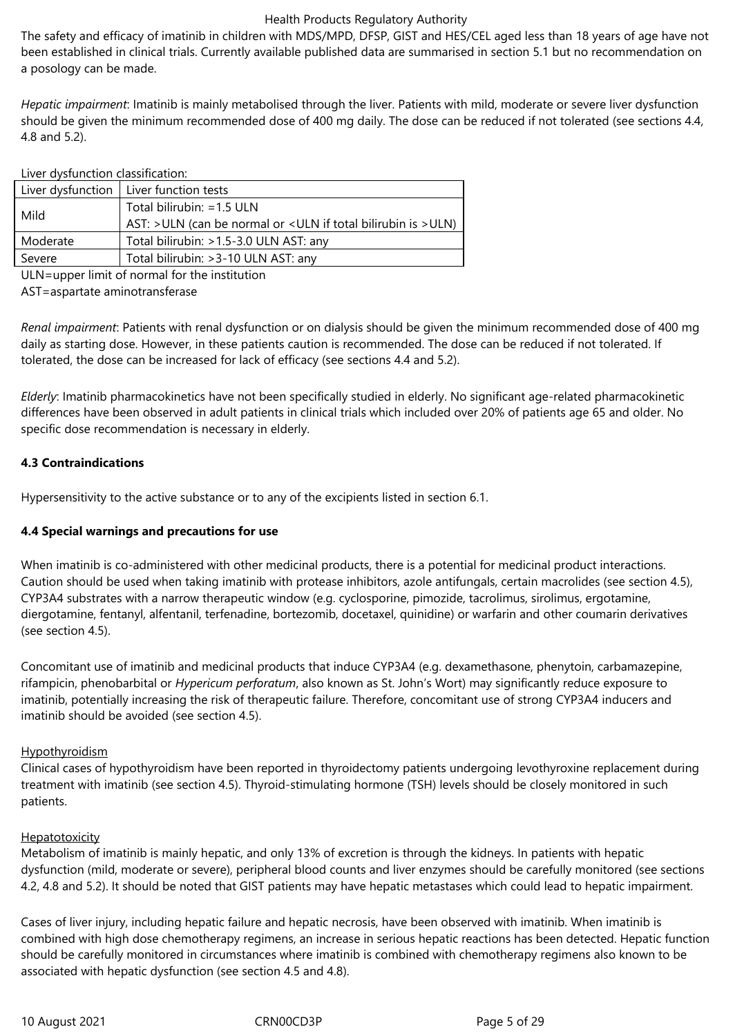The safety and efficacy of imatinib in children with MDS/MPD, DFSP, GIST and HES/CEL aged less than 18 years of age have not been established in clinical trials. Currently available published data are summarised in section 5.1 but no recommendation on a posology can be made.

*Hepatic impairment*: Imatinib is mainly metabolised through the liver. Patients with mild, moderate or severe liver dysfunction should be given the minimum recommended dose of 400 mg daily. The dose can be reduced if not tolerated (see sections 4.4, 4.8 and 5.2).

| Liver dysfunction classification: |                                                                                               |
|-----------------------------------|-----------------------------------------------------------------------------------------------|
|                                   | Liver dysfunction   Liver function tests                                                      |
| Mild                              | Total bilirubin: = 1.5 ULN<br>AST: > ULN (can be normal or < ULN if total bilirubin is > ULN) |
| Moderate                          | Total bilirubin: >1.5-3.0 ULN AST: any                                                        |
| Severe                            | Total bilirubin: > 3-10 ULN AST: any                                                          |

ULN=upper limit of normal for the institution

AST=aspartate aminotransferase

*Renal impairment*: Patients with renal dysfunction or on dialysis should be given the minimum recommended dose of 400 mg daily as starting dose. However, in these patients caution is recommended. The dose can be reduced if not tolerated. If tolerated, the dose can be increased for lack of efficacy (see sections 4.4 and 5.2).

*Elderly*: Imatinib pharmacokinetics have not been specifically studied in elderly. No significant age-related pharmacokinetic differences have been observed in adult patients in clinical trials which included over 20% of patients age 65 and older. No specific dose recommendation is necessary in elderly.

## **4.3 Contraindications**

Hypersensitivity to the active substance or to any of the excipients listed in section 6.1.

## **4.4 Special warnings and precautions for use**

When imatinib is co-administered with other medicinal products, there is a potential for medicinal product interactions. Caution should be used when taking imatinib with protease inhibitors, azole antifungals, certain macrolides (see section 4.5), CYP3A4 substrates with a narrow therapeutic window (e.g. cyclosporine, pimozide, tacrolimus, sirolimus, ergotamine, diergotamine, fentanyl, alfentanil, terfenadine, bortezomib, docetaxel, quinidine) or warfarin and other coumarin derivatives (see section 4.5).

Concomitant use of imatinib and medicinal products that induce CYP3A4 (e.g. dexamethasone, phenytoin, carbamazepine, rifampicin, phenobarbital or *Hypericum perforatum*, also known as St. John's Wort) may significantly reduce exposure to imatinib, potentially increasing the risk of therapeutic failure. Therefore, concomitant use of strong CYP3A4 inducers and imatinib should be avoided (see section 4.5).

#### **Hypothyroidism**

Clinical cases of hypothyroidism have been reported in thyroidectomy patients undergoing levothyroxine replacement during treatment with imatinib (see section 4.5). Thyroid-stimulating hormone (TSH) levels should be closely monitored in such patients.

#### **Hepatotoxicity**

Metabolism of imatinib is mainly hepatic, and only 13% of excretion is through the kidneys. In patients with hepatic dysfunction (mild, moderate or severe), peripheral blood counts and liver enzymes should be carefully monitored (see sections 4.2, 4.8 and 5.2). It should be noted that GIST patients may have hepatic metastases which could lead to hepatic impairment.

Cases of liver injury, including hepatic failure and hepatic necrosis, have been observed with imatinib. When imatinib is combined with high dose chemotherapy regimens, an increase in serious hepatic reactions has been detected. Hepatic function should be carefully monitored in circumstances where imatinib is combined with chemotherapy regimens also known to be associated with hepatic dysfunction (see section 4.5 and 4.8).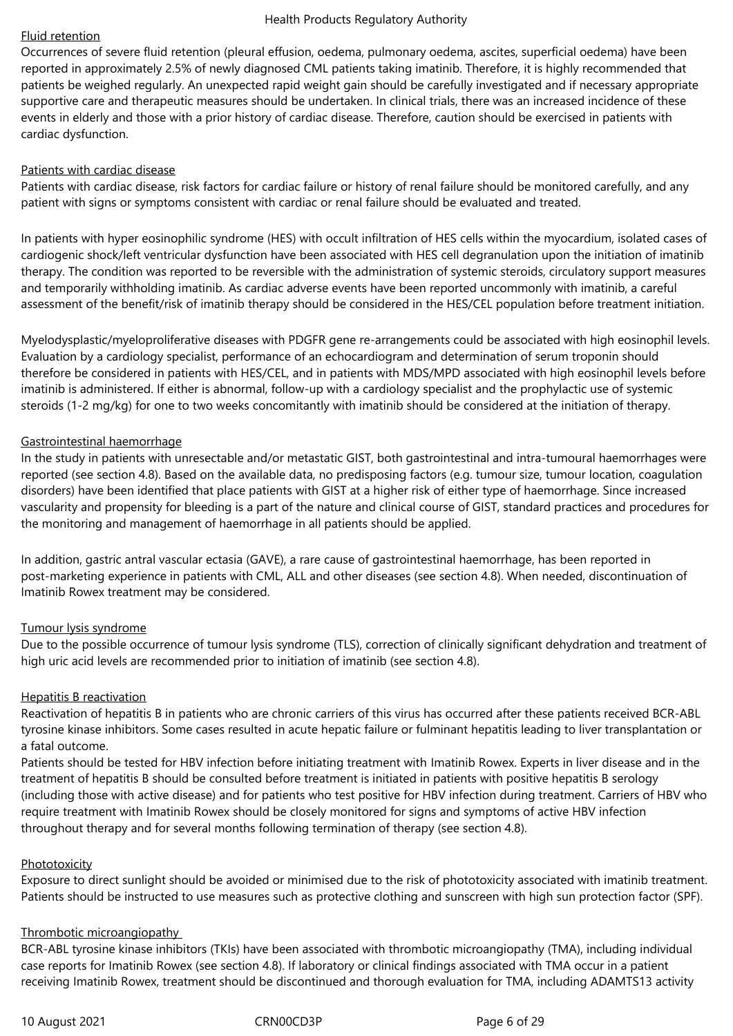## Fluid retention

Occurrences of severe fluid retention (pleural effusion, oedema, pulmonary oedema, ascites, superficial oedema) have been reported in approximately 2.5% of newly diagnosed CML patients taking imatinib. Therefore, it is highly recommended that patients be weighed regularly. An unexpected rapid weight gain should be carefully investigated and if necessary appropriate supportive care and therapeutic measures should be undertaken. In clinical trials, there was an increased incidence of these events in elderly and those with a prior history of cardiac disease. Therefore, caution should be exercised in patients with cardiac dysfunction.

#### Patients with cardiac disease

Patients with cardiac disease, risk factors for cardiac failure or history of renal failure should be monitored carefully, and any patient with signs or symptoms consistent with cardiac or renal failure should be evaluated and treated.

In patients with hyper eosinophilic syndrome (HES) with occult infiltration of HES cells within the myocardium, isolated cases of cardiogenic shock/left ventricular dysfunction have been associated with HES cell degranulation upon the initiation of imatinib therapy. The condition was reported to be reversible with the administration of systemic steroids, circulatory support measures and temporarily withholding imatinib. As cardiac adverse events have been reported uncommonly with imatinib, a careful assessment of the benefit/risk of imatinib therapy should be considered in the HES/CEL population before treatment initiation.

Myelodysplastic/myeloproliferative diseases with PDGFR gene re-arrangements could be associated with high eosinophil levels. Evaluation by a cardiology specialist, performance of an echocardiogram and determination of serum troponin should therefore be considered in patients with HES/CEL, and in patients with MDS/MPD associated with high eosinophil levels before imatinib is administered. If either is abnormal, follow-up with a cardiology specialist and the prophylactic use of systemic steroids (1-2 mg/kg) for one to two weeks concomitantly with imatinib should be considered at the initiation of therapy.

#### Gastrointestinal haemorrhage

In the study in patients with unresectable and/or metastatic GIST, both gastrointestinal and intra-tumoural haemorrhages were reported (see section 4.8). Based on the available data, no predisposing factors (e.g. tumour size, tumour location, coagulation disorders) have been identified that place patients with GIST at a higher risk of either type of haemorrhage. Since increased vascularity and propensity for bleeding is a part of the nature and clinical course of GIST, standard practices and procedures for the monitoring and management of haemorrhage in all patients should be applied.

In addition, gastric antral vascular ectasia (GAVE), a rare cause of gastrointestinal haemorrhage, has been reported in post-marketing experience in patients with CML, ALL and other diseases (see section 4.8). When needed, discontinuation of Imatinib Rowex treatment may be considered.

#### Tumour lysis syndrome

Due to the possible occurrence of tumour lysis syndrome (TLS), correction of clinically significant dehydration and treatment of high uric acid levels are recommended prior to initiation of imatinib (see section 4.8).

#### Hepatitis B reactivation

Reactivation of hepatitis B in patients who are chronic carriers of this virus has occurred after these patients received BCR-ABL tyrosine kinase inhibitors. Some cases resulted in acute hepatic failure or fulminant hepatitis leading to liver transplantation or a fatal outcome.

Patients should be tested for HBV infection before initiating treatment with Imatinib Rowex. Experts in liver disease and in the treatment of hepatitis B should be consulted before treatment is initiated in patients with positive hepatitis B serology (including those with active disease) and for patients who test positive for HBV infection during treatment. Carriers of HBV who require treatment with Imatinib Rowex should be closely monitored for signs and symptoms of active HBV infection throughout therapy and for several months following termination of therapy (see section 4.8).

#### **Phototoxicity**

Exposure to direct sunlight should be avoided or minimised due to the risk of phototoxicity associated with imatinib treatment. Patients should be instructed to use measures such as protective clothing and sunscreen with high sun protection factor (SPF).

#### Thrombotic microangiopathy

BCR-ABL tyrosine kinase inhibitors (TKIs) have been associated with thrombotic microangiopathy (TMA), including individual case reports for Imatinib Rowex (see section 4.8). If laboratory or clinical findings associated with TMA occur in a patient receiving Imatinib Rowex, treatment should be discontinued and thorough evaluation for TMA, including ADAMTS13 activity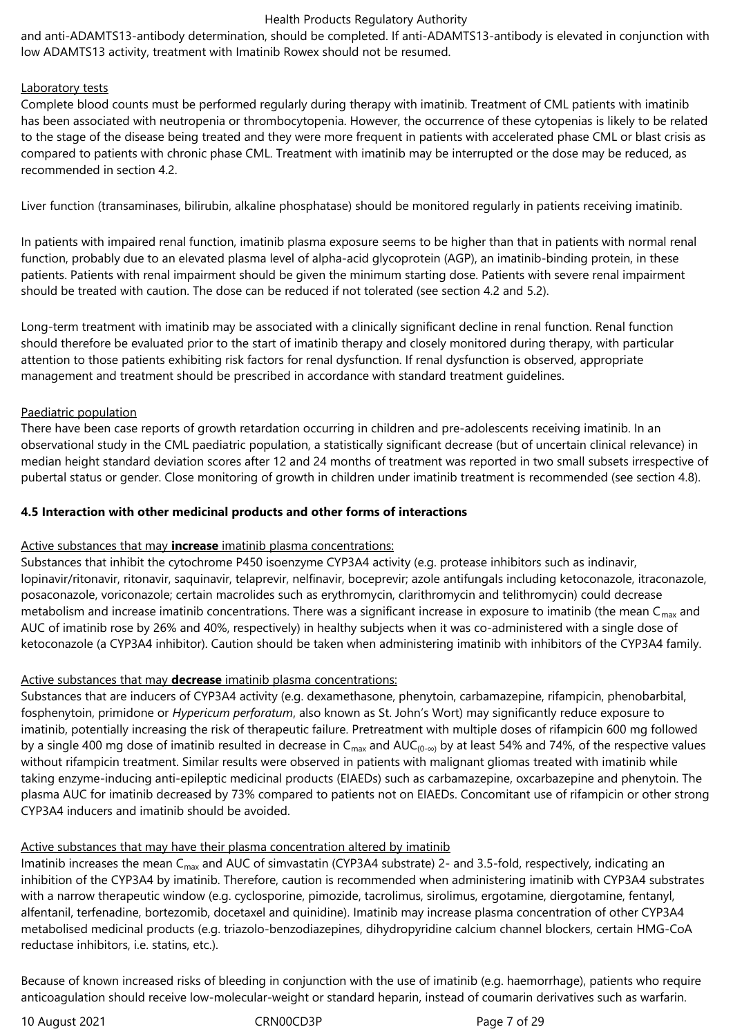and anti-ADAMTS13-antibody determination, should be completed. If anti-ADAMTS13-antibody is elevated in conjunction with low ADAMTS13 activity, treatment with Imatinib Rowex should not be resumed.

## Laboratory tests

Complete blood counts must be performed regularly during therapy with imatinib. Treatment of CML patients with imatinib has been associated with neutropenia or thrombocytopenia. However, the occurrence of these cytopenias is likely to be related to the stage of the disease being treated and they were more frequent in patients with accelerated phase CML or blast crisis as compared to patients with chronic phase CML. Treatment with imatinib may be interrupted or the dose may be reduced, as recommended in section 4.2.

Liver function (transaminases, bilirubin, alkaline phosphatase) should be monitored regularly in patients receiving imatinib.

In patients with impaired renal function, imatinib plasma exposure seems to be higher than that in patients with normal renal function, probably due to an elevated plasma level of alpha-acid glycoprotein (AGP), an imatinib-binding protein, in these patients. Patients with renal impairment should be given the minimum starting dose. Patients with severe renal impairment should be treated with caution. The dose can be reduced if not tolerated (see section 4.2 and 5.2).

Long-term treatment with imatinib may be associated with a clinically significant decline in renal function. Renal function should therefore be evaluated prior to the start of imatinib therapy and closely monitored during therapy, with particular attention to those patients exhibiting risk factors for renal dysfunction. If renal dysfunction is observed, appropriate management and treatment should be prescribed in accordance with standard treatment guidelines.

## Paediatric population

There have been case reports of growth retardation occurring in children and pre-adolescents receiving imatinib. In an observational study in the CML paediatric population, a statistically significant decrease (but of uncertain clinical relevance) in median height standard deviation scores after 12 and 24 months of treatment was reported in two small subsets irrespective of pubertal status or gender. Close monitoring of growth in children under imatinib treatment is recommended (see section 4.8).

#### **4.5 Interaction with other medicinal products and other forms of interactions**

## Active substances that may **increase** imatinib plasma concentrations:

Substances that inhibit the cytochrome P450 isoenzyme CYP3A4 activity (e.g. protease inhibitors such as indinavir, lopinavir/ritonavir, ritonavir, saquinavir, telaprevir, nelfinavir, boceprevir; azole antifungals including ketoconazole, itraconazole, posaconazole, voriconazole; certain macrolides such as erythromycin, clarithromycin and telithromycin) could decrease metabolism and increase imatinib concentrations. There was a significant increase in exposure to imatinib (the mean  $C_{\text{max}}$  and AUC of imatinib rose by 26% and 40%, respectively) in healthy subjects when it was co-administered with a single dose of ketoconazole (a CYP3A4 inhibitor). Caution should be taken when administering imatinib with inhibitors of the CYP3A4 family.

## Active substances that may **decrease** imatinib plasma concentrations:

Substances that are inducers of CYP3A4 activity (e.g. dexamethasone, phenytoin, carbamazepine, rifampicin, phenobarbital, fosphenytoin, primidone or *Hypericum perforatum*, also known as St. John's Wort) may significantly reduce exposure to imatinib, potentially increasing the risk of therapeutic failure. Pretreatment with multiple doses of rifampicin 600 mg followed by a single 400 mg dose of imatinib resulted in decrease in C<sub>max</sub> and AUC<sub>(0-∞)</sub> by at least 54% and 74%, of the respective values without rifampicin treatment. Similar results were observed in patients with malignant gliomas treated with imatinib while taking enzyme-inducing anti-epileptic medicinal products (EIAEDs) such as carbamazepine, oxcarbazepine and phenytoin. The plasma AUC for imatinib decreased by 73% compared to patients not on EIAEDs. Concomitant use of rifampicin or other strong CYP3A4 inducers and imatinib should be avoided.

## Active substances that may have their plasma concentration altered by imatinib

Imatinib increases the mean C<sub>max</sub> and AUC of simvastatin (CYP3A4 substrate) 2- and 3.5-fold, respectively, indicating an inhibition of the CYP3A4 by imatinib. Therefore, caution is recommended when administering imatinib with CYP3A4 substrates with a narrow therapeutic window (e.g. cyclosporine, pimozide, tacrolimus, sirolimus, ergotamine, diergotamine, fentanyl, alfentanil, terfenadine, bortezomib, docetaxel and quinidine). Imatinib may increase plasma concentration of other CYP3A4 metabolised medicinal products (e.g. triazolo-benzodiazepines, dihydropyridine calcium channel blockers, certain HMG-CoA reductase inhibitors, i.e. statins, etc.).

Because of known increased risks of bleeding in conjunction with the use of imatinib (e.g. haemorrhage), patients who require anticoagulation should receive low-molecular-weight or standard heparin, instead of coumarin derivatives such as warfarin.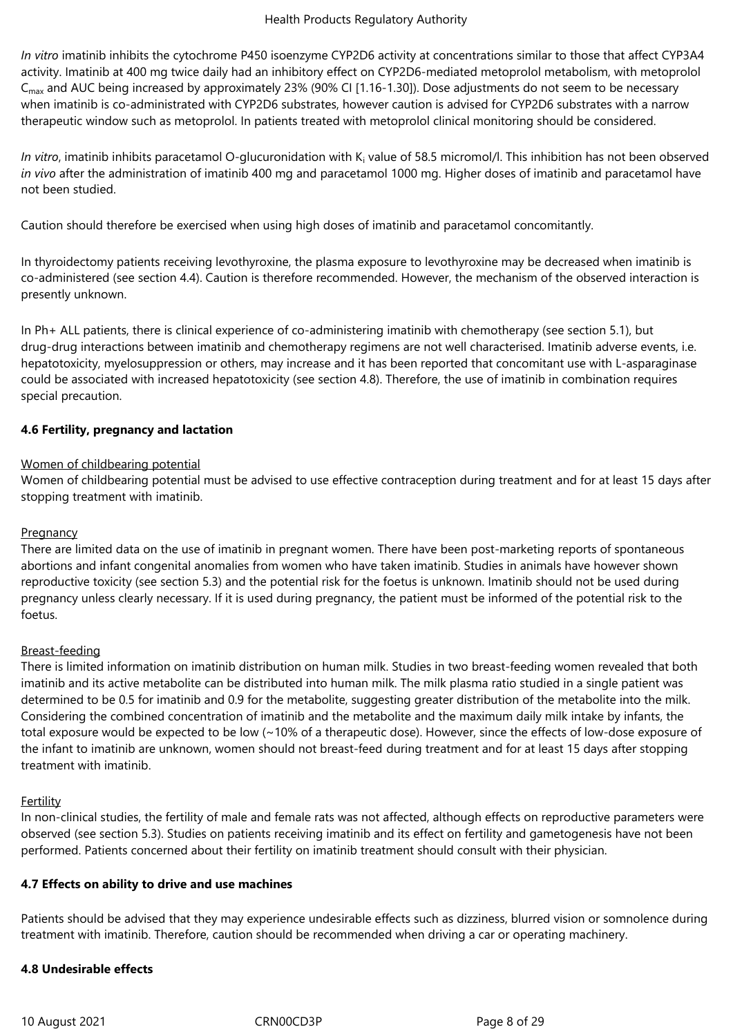*In vitro* imatinib inhibits the cytochrome P450 isoenzyme CYP2D6 activity at concentrations similar to those that affect CYP3A4 activity. Imatinib at 400 mg twice daily had an inhibitory effect on CYP2D6-mediated metoprolol metabolism, with metoprolol C<sub>max</sub> and AUC being increased by approximately 23% (90% CI [1.16-1.30]). Dose adjustments do not seem to be necessary when imatinib is co-administrated with CYP2D6 substrates, however caution is advised for CYP2D6 substrates with a narrow therapeutic window such as metoprolol. In patients treated with metoprolol clinical monitoring should be considered.

In vitro, imatinib inhibits paracetamol O-glucuronidation with K<sub>i</sub> value of 58.5 micromol/l. This inhibition has not been observed *in vivo* after the administration of imatinib 400 mg and paracetamol 1000 mg. Higher doses of imatinib and paracetamol have not been studied.

Caution should therefore be exercised when using high doses of imatinib and paracetamol concomitantly.

In thyroidectomy patients receiving levothyroxine, the plasma exposure to levothyroxine may be decreased when imatinib is co-administered (see section 4.4). Caution is therefore recommended. However, the mechanism of the observed interaction is presently unknown.

In Ph+ ALL patients, there is clinical experience of co-administering imatinib with chemotherapy (see section 5.1), but drug-drug interactions between imatinib and chemotherapy regimens are not well characterised. Imatinib adverse events, i.e. hepatotoxicity, myelosuppression or others, may increase and it has been reported that concomitant use with L-asparaginase could be associated with increased hepatotoxicity (see section 4.8). Therefore, the use of imatinib in combination requires special precaution.

## **4.6 Fertility, pregnancy and lactation**

#### Women of childbearing potential

Women of childbearing potential must be advised to use effective contraception during treatment and for at least 15 days after stopping treatment with imatinib.

## **Pregnancy**

There are limited data on the use of imatinib in pregnant women. There have been post-marketing reports of spontaneous abortions and infant congenital anomalies from women who have taken imatinib. Studies in animals have however shown reproductive toxicity (see section 5.3) and the potential risk for the foetus is unknown. Imatinib should not be used during pregnancy unless clearly necessary. If it is used during pregnancy, the patient must be informed of the potential risk to the foetus.

#### Breast-feeding

There is limited information on imatinib distribution on human milk. Studies in two breast-feeding women revealed that both imatinib and its active metabolite can be distributed into human milk. The milk plasma ratio studied in a single patient was determined to be 0.5 for imatinib and 0.9 for the metabolite, suggesting greater distribution of the metabolite into the milk. Considering the combined concentration of imatinib and the metabolite and the maximum daily milk intake by infants, the total exposure would be expected to be low (~10% of a therapeutic dose). However, since the effects of low-dose exposure of the infant to imatinib are unknown, women should not breast-feed during treatment and for at least 15 days after stopping treatment with imatinib.

#### **Fertility**

In non-clinical studies, the fertility of male and female rats was not affected, although effects on reproductive parameters were observed (see section 5.3). Studies on patients receiving imatinib and its effect on fertility and gametogenesis have not been performed. Patients concerned about their fertility on imatinib treatment should consult with their physician.

#### **4.7 Effects on ability to drive and use machines**

Patients should be advised that they may experience undesirable effects such as dizziness, blurred vision or somnolence during treatment with imatinib. Therefore, caution should be recommended when driving a car or operating machinery.

## **4.8 Undesirable effects**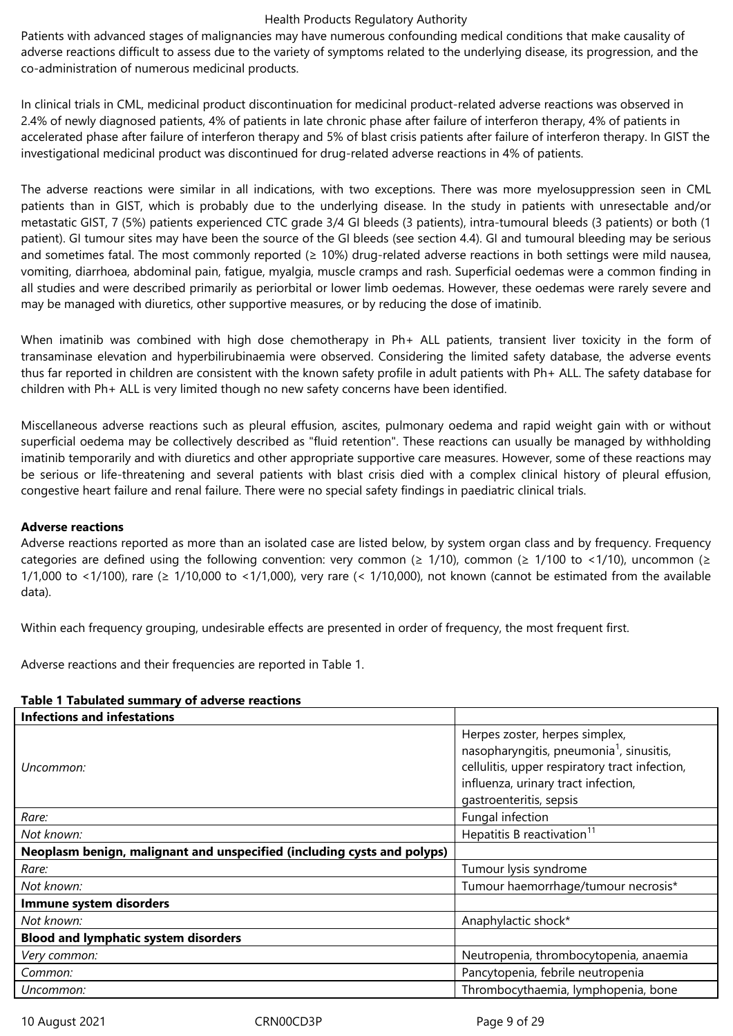Patients with advanced stages of malignancies may have numerous confounding medical conditions that make causality of adverse reactions difficult to assess due to the variety of symptoms related to the underlying disease, its progression, and the co-administration of numerous medicinal products.

In clinical trials in CML, medicinal product discontinuation for medicinal product-related adverse reactions was observed in 2.4% of newly diagnosed patients, 4% of patients in late chronic phase after failure of interferon therapy, 4% of patients in accelerated phase after failure of interferon therapy and 5% of blast crisis patients after failure of interferon therapy. In GIST the investigational medicinal product was discontinued for drug-related adverse reactions in 4% of patients.

The adverse reactions were similar in all indications, with two exceptions. There was more myelosuppression seen in CML patients than in GIST, which is probably due to the underlying disease. In the study in patients with unresectable and/or metastatic GIST, 7 (5%) patients experienced CTC grade 3/4 GI bleeds (3 patients), intra-tumoural bleeds (3 patients) or both (1 patient). GI tumour sites may have been the source of the GI bleeds (see section 4.4). GI and tumoural bleeding may be serious and sometimes fatal. The most commonly reported ( $\geq$  10%) drug-related adverse reactions in both settings were mild nausea, vomiting, diarrhoea, abdominal pain, fatigue, myalgia, muscle cramps and rash. Superficial oedemas were a common finding in all studies and were described primarily as periorbital or lower limb oedemas. However, these oedemas were rarely severe and may be managed with diuretics, other supportive measures, or by reducing the dose of imatinib.

When imatinib was combined with high dose chemotherapy in Ph+ ALL patients, transient liver toxicity in the form of transaminase elevation and hyperbilirubinaemia were observed. Considering the limited safety database, the adverse events thus far reported in children are consistent with the known safety profile in adult patients with Ph+ ALL. The safety database for children with Ph+ ALL is very limited though no new safety concerns have been identified.

Miscellaneous adverse reactions such as pleural effusion, ascites, pulmonary oedema and rapid weight gain with or without superficial oedema may be collectively described as "fluid retention". These reactions can usually be managed by withholding imatinib temporarily and with diuretics and other appropriate supportive care measures. However, some of these reactions may be serious or life-threatening and several patients with blast crisis died with a complex clinical history of pleural effusion, congestive heart failure and renal failure. There were no special safety findings in paediatric clinical trials.

#### **Adverse reactions**

Adverse reactions reported as more than an isolated case are listed below, by system organ class and by frequency. Frequency categories are defined using the following convention: very common ( $\geq 1/10$ ), common ( $\geq 1/100$  to <1/10), uncommon ( $\geq$ 1/1,000 to <1/100), rare ( $\geq 1/10,000$  to <1/1,000), very rare (< 1/10,000), not known (cannot be estimated from the available data).

Within each frequency grouping, undesirable effects are presented in order of frequency, the most frequent first.

Adverse reactions and their frequencies are reported in Table 1.

| Herpes zoster, herpes simplex,<br>nasopharyngitis, pneumonia <sup>1</sup> , sinusitis,<br>cellulitis, upper respiratory tract infection,<br>influenza, urinary tract infection,<br>gastroenteritis, sepsis |
|------------------------------------------------------------------------------------------------------------------------------------------------------------------------------------------------------------|
| Fungal infection                                                                                                                                                                                           |
| Hepatitis B reactivation <sup>11</sup>                                                                                                                                                                     |
|                                                                                                                                                                                                            |
| Tumour lysis syndrome                                                                                                                                                                                      |
| Tumour haemorrhage/tumour necrosis*                                                                                                                                                                        |
|                                                                                                                                                                                                            |
| Anaphylactic shock*                                                                                                                                                                                        |
|                                                                                                                                                                                                            |
| Neutropenia, thrombocytopenia, anaemia                                                                                                                                                                     |
| Pancytopenia, febrile neutropenia                                                                                                                                                                          |
| Thrombocythaemia, lymphopenia, bone                                                                                                                                                                        |
|                                                                                                                                                                                                            |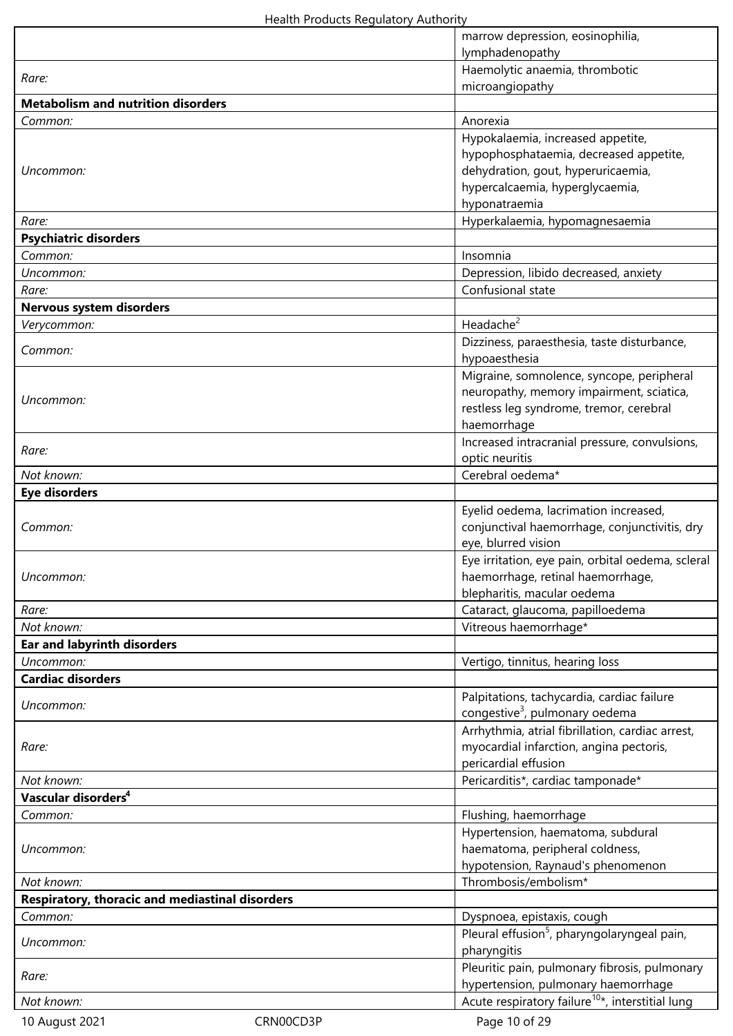|                                                 |           | marrow depression, eosinophilia,<br>lymphadenopathy                  |
|-------------------------------------------------|-----------|----------------------------------------------------------------------|
|                                                 |           | Haemolytic anaemia, thrombotic                                       |
| Rare:                                           |           | microangiopathy                                                      |
| <b>Metabolism and nutrition disorders</b>       |           |                                                                      |
| Common:                                         |           | Anorexia                                                             |
|                                                 |           | Hypokalaemia, increased appetite,                                    |
|                                                 |           | hypophosphataemia, decreased appetite,                               |
| Uncommon:                                       |           | dehydration, gout, hyperuricaemia,                                   |
|                                                 |           | hypercalcaemia, hyperglycaemia,                                      |
|                                                 |           | hyponatraemia                                                        |
| Rare:                                           |           | Hyperkalaemia, hypomagnesaemia                                       |
| <b>Psychiatric disorders</b>                    |           |                                                                      |
| Common:                                         |           | Insomnia                                                             |
| Uncommon:<br>Rare:                              |           | Depression, libido decreased, anxiety<br>Confusional state           |
| <b>Nervous system disorders</b>                 |           |                                                                      |
| Verycommon:                                     |           | Headache <sup>2</sup>                                                |
|                                                 |           | Dizziness, paraesthesia, taste disturbance,                          |
| Common:                                         |           | hypoaesthesia                                                        |
|                                                 |           | Migraine, somnolence, syncope, peripheral                            |
|                                                 |           | neuropathy, memory impairment, sciatica,                             |
| Uncommon:                                       |           | restless leg syndrome, tremor, cerebral                              |
|                                                 |           | haemorrhage                                                          |
| Rare:                                           |           | Increased intracranial pressure, convulsions,                        |
|                                                 |           | optic neuritis                                                       |
| Not known:                                      |           | Cerebral oedema*                                                     |
| <b>Eye disorders</b>                            |           |                                                                      |
|                                                 |           | Eyelid oedema, lacrimation increased,                                |
| Common:                                         |           | conjunctival haemorrhage, conjunctivitis, dry<br>eye, blurred vision |
|                                                 |           | Eye irritation, eye pain, orbital oedema, scleral                    |
| Uncommon:                                       |           | haemorrhage, retinal haemorrhage,                                    |
|                                                 |           | blepharitis, macular oedema                                          |
| Rare:                                           |           | Cataract, glaucoma, papilloedema                                     |
| Not known:                                      |           | Vitreous haemorrhage*                                                |
| <b>Ear and labyrinth disorders</b>              |           |                                                                      |
| Uncommon:                                       |           | Vertigo, tinnitus, hearing loss                                      |
| <b>Cardiac disorders</b>                        |           |                                                                      |
| Uncommon:                                       |           | Palpitations, tachycardia, cardiac failure                           |
|                                                 |           | congestive <sup>3</sup> , pulmonary oedema                           |
|                                                 |           | Arrhythmia, atrial fibrillation, cardiac arrest,                     |
| Rare:                                           |           | myocardial infarction, angina pectoris,                              |
| Not known:                                      |           | pericardial effusion                                                 |
| Vascular disorders <sup>4</sup>                 |           | Pericarditis*, cardiac tamponade*                                    |
| Common:                                         |           | Flushing, haemorrhage                                                |
|                                                 |           | Hypertension, haematoma, subdural                                    |
| Uncommon:                                       |           | haematoma, peripheral coldness,                                      |
|                                                 |           | hypotension, Raynaud's phenomenon                                    |
| Not known:                                      |           | Thrombosis/embolism*                                                 |
| Respiratory, thoracic and mediastinal disorders |           |                                                                      |
| Common:                                         |           | Dyspnoea, epistaxis, cough                                           |
|                                                 |           | Pleural effusion <sup>5</sup> , pharyngolaryngeal pain,              |
| Uncommon:                                       |           | pharyngitis                                                          |
| Rare:                                           |           | Pleuritic pain, pulmonary fibrosis, pulmonary                        |
|                                                 |           | hypertension, pulmonary haemorrhage                                  |
| Not known:                                      |           | Acute respiratory failure <sup>10*</sup> , interstitial lung         |
| 10 August 2021                                  | CRN00CD3P | Page 10 of 29                                                        |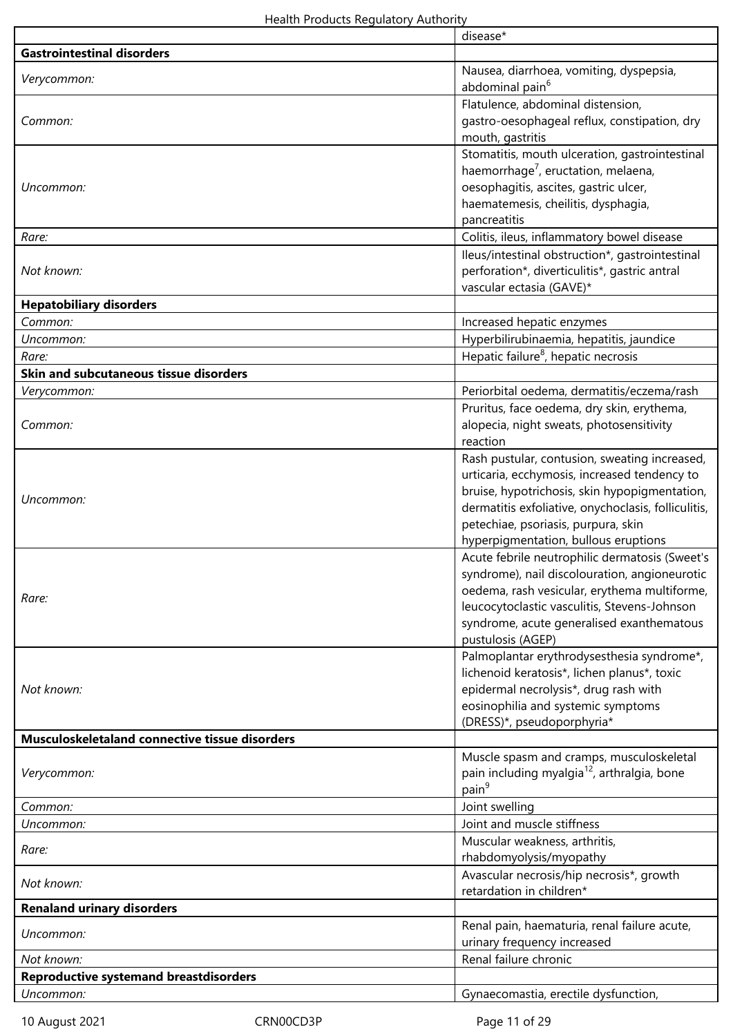|                                                | disease*                                                |
|------------------------------------------------|---------------------------------------------------------|
| <b>Gastrointestinal disorders</b>              |                                                         |
|                                                | Nausea, diarrhoea, vomiting, dyspepsia,                 |
| Verycommon:                                    | abdominal pain <sup>6</sup>                             |
|                                                | Flatulence, abdominal distension,                       |
| Common:                                        |                                                         |
|                                                | gastro-oesophageal reflux, constipation, dry            |
|                                                | mouth, gastritis                                        |
|                                                | Stomatitis, mouth ulceration, gastrointestinal          |
|                                                | haemorrhage <sup>7</sup> , eructation, melaena,         |
| Uncommon:                                      | oesophagitis, ascites, gastric ulcer,                   |
|                                                | haematemesis, cheilitis, dysphagia,                     |
|                                                | pancreatitis                                            |
| Rare:                                          | Colitis, ileus, inflammatory bowel disease              |
|                                                | lleus/intestinal obstruction*, gastrointestinal         |
| Not known:                                     | perforation*, diverticulitis*, gastric antral           |
|                                                |                                                         |
|                                                | vascular ectasia (GAVE)*                                |
| <b>Hepatobiliary disorders</b>                 |                                                         |
| Common:                                        | Increased hepatic enzymes                               |
| Uncommon:                                      | Hyperbilirubinaemia, hepatitis, jaundice                |
| Rare:                                          | Hepatic failure <sup>8</sup> , hepatic necrosis         |
| Skin and subcutaneous tissue disorders         |                                                         |
| Verycommon:                                    | Periorbital oedema, dermatitis/eczema/rash              |
|                                                |                                                         |
|                                                | Pruritus, face oedema, dry skin, erythema,              |
| Common:                                        | alopecia, night sweats, photosensitivity                |
|                                                | reaction                                                |
|                                                | Rash pustular, contusion, sweating increased,           |
|                                                | urticaria, ecchymosis, increased tendency to            |
|                                                | bruise, hypotrichosis, skin hypopigmentation,           |
| Uncommon:                                      | dermatitis exfoliative, onychoclasis, folliculitis,     |
|                                                | petechiae, psoriasis, purpura, skin                     |
|                                                | hyperpigmentation, bullous eruptions                    |
|                                                |                                                         |
|                                                | Acute febrile neutrophilic dermatosis (Sweet's          |
|                                                | syndrome), nail discolouration, angioneurotic           |
| Rare:                                          | oedema, rash vesicular, erythema multiforme,            |
|                                                | leucocytoclastic vasculitis, Stevens-Johnson            |
|                                                | syndrome, acute generalised exanthematous               |
|                                                | pustulosis (AGEP)                                       |
|                                                | Palmoplantar erythrodysesthesia syndrome*,              |
|                                                | lichenoid keratosis*, lichen planus*, toxic             |
| Not known:                                     | epidermal necrolysis*, drug rash with                   |
|                                                | eosinophilia and systemic symptoms                      |
|                                                |                                                         |
|                                                | (DRESS)*, pseudoporphyria*                              |
| Musculoskeletaland connective tissue disorders |                                                         |
|                                                | Muscle spasm and cramps, musculoskeletal                |
| Verycommon:                                    | pain including myalgia <sup>12</sup> , arthralgia, bone |
|                                                | pain <sup>9</sup>                                       |
| Common:                                        | Joint swelling                                          |
| Uncommon:                                      | Joint and muscle stiffness                              |
|                                                | Muscular weakness, arthritis,                           |
| Rare:                                          |                                                         |
|                                                | rhabdomyolysis/myopathy                                 |
| Not known:                                     | Avascular necrosis/hip necrosis*, growth                |
|                                                | retardation in children*                                |
| <b>Renaland urinary disorders</b>              |                                                         |
|                                                | Renal pain, haematuria, renal failure acute,            |
| Uncommon:                                      | urinary frequency increased                             |
| Not known:                                     | Renal failure chronic                                   |
| <b>Reproductive systemand breastdisorders</b>  |                                                         |
| Uncommon:                                      |                                                         |
|                                                | Gynaecomastia, erectile dysfunction,                    |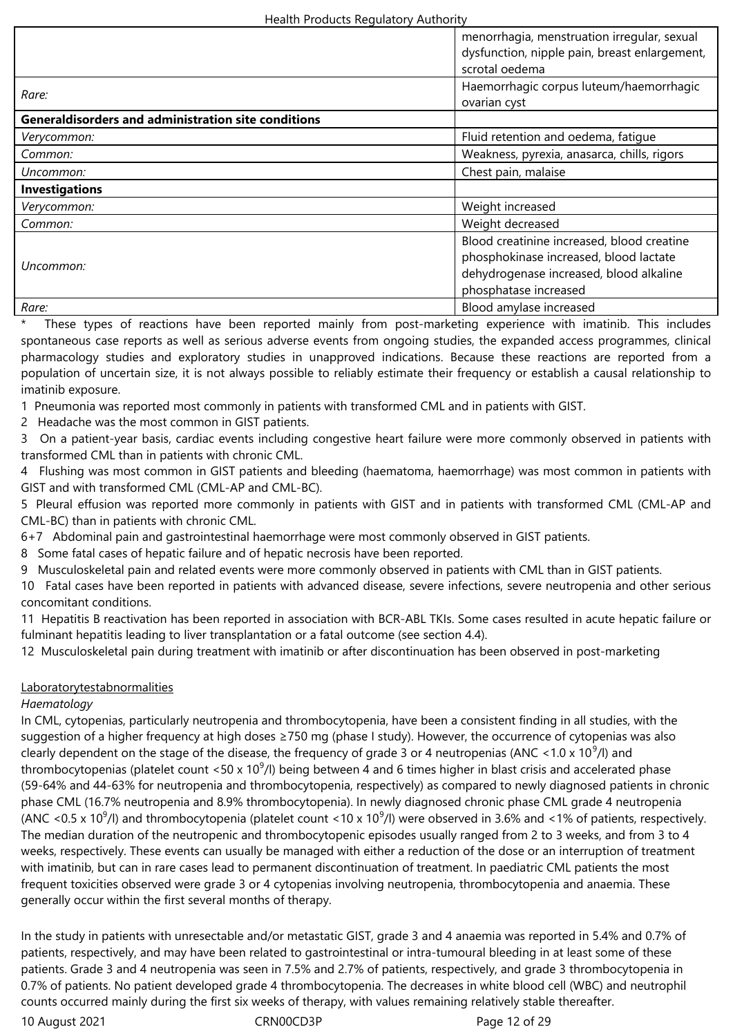|                                                            | menorrhagia, menstruation irregular, sexual   |
|------------------------------------------------------------|-----------------------------------------------|
|                                                            | dysfunction, nipple pain, breast enlargement, |
|                                                            | scrotal oedema                                |
|                                                            | Haemorrhagic corpus luteum/haemorrhagic       |
| Rare:                                                      | ovarian cyst                                  |
| <b>Generaldisorders and administration site conditions</b> |                                               |
| Verycommon:                                                | Fluid retention and oedema, fatigue           |
| Common:                                                    | Weakness, pyrexia, anasarca, chills, rigors   |
| Uncommon:                                                  | Chest pain, malaise                           |
| <b>Investigations</b>                                      |                                               |
| Verycommon:                                                | Weight increased                              |
| Common:                                                    | Weight decreased                              |
|                                                            | Blood creatinine increased, blood creatine    |
|                                                            | phosphokinase increased, blood lactate        |
| Uncommon:                                                  | dehydrogenase increased, blood alkaline       |
|                                                            | phosphatase increased                         |
| Rare:                                                      | Blood amylase increased                       |

These types of reactions have been reported mainly from post-marketing experience with imatinib. This includes spontaneous case reports as well as serious adverse events from ongoing studies, the expanded access programmes, clinical pharmacology studies and exploratory studies in unapproved indications. Because these reactions are reported from a population of uncertain size, it is not always possible to reliably estimate their frequency or establish a causal relationship to imatinib exposure.

1 Pneumonia was reported most commonly in patients with transformed CML and in patients with GIST.

2 Headache was the most common in GIST patients.

3 On a patient-year basis, cardiac events including congestive heart failure were more commonly observed in patients with transformed CML than in patients with chronic CML.

4 Flushing was most common in GIST patients and bleeding (haematoma, haemorrhage) was most common in patients with GIST and with transformed CML (CML-AP and CML-BC).

5 Pleural effusion was reported more commonly in patients with GIST and in patients with transformed CML (CML-AP and CML-BC) than in patients with chronic CML.

6+7 Abdominal pain and gastrointestinal haemorrhage were most commonly observed in GIST patients.

8 Some fatal cases of hepatic failure and of hepatic necrosis have been reported.

9 Musculoskeletal pain and related events were more commonly observed in patients with CML than in GIST patients.

10 Fatal cases have been reported in patients with advanced disease, severe infections, severe neutropenia and other serious concomitant conditions.

11 Hepatitis B reactivation has been reported in association with BCR-ABL TKIs. Some cases resulted in acute hepatic failure or fulminant hepatitis leading to liver transplantation or a fatal outcome (see section 4.4).

12 Musculoskeletal pain during treatment with imatinib or after discontinuation has been observed in post-marketing

## Laboratorytestabnormalities

#### *Haematology*

In CML, cytopenias, particularly neutropenia and thrombocytopenia, have been a consistent finding in all studies, with the suggestion of a higher frequency at high doses ≥750 mg (phase I study). However, the occurrence of cytopenias was also clearly dependent on the stage of the disease, the frequency of grade 3 or 4 neutropenias (ANC <1.0 x 10<sup>9</sup>/l) and thrombocytopenias (platelet count <50 x 10<sup>9</sup>/l) being between 4 and 6 times higher in blast crisis and accelerated phase (59-64% and 44-63% for neutropenia and thrombocytopenia, respectively) as compared to newly diagnosed patients in chronic phase CML (16.7% neutropenia and 8.9% thrombocytopenia). In newly diagnosed chronic phase CML grade 4 neutropenia (ANC <0.5 x 10<sup>9</sup>/l) and thrombocytopenia (platelet count <10 x 10<sup>9</sup>/l) were observed in 3.6% and <1% of patients, respectively. The median duration of the neutropenic and thrombocytopenic episodes usually ranged from 2 to 3 weeks, and from 3 to 4 weeks, respectively. These events can usually be managed with either a reduction of the dose or an interruption of treatment with imatinib, but can in rare cases lead to permanent discontinuation of treatment. In paediatric CML patients the most frequent toxicities observed were grade 3 or 4 cytopenias involving neutropenia, thrombocytopenia and anaemia. These generally occur within the first several months of therapy.

In the study in patients with unresectable and/or metastatic GIST, grade 3 and 4 anaemia was reported in 5.4% and 0.7% of patients, respectively, and may have been related to gastrointestinal or intra-tumoural bleeding in at least some of these patients. Grade 3 and 4 neutropenia was seen in 7.5% and 2.7% of patients, respectively, and grade 3 thrombocytopenia in 0.7% of patients. No patient developed grade 4 thrombocytopenia. The decreases in white blood cell (WBC) and neutrophil counts occurred mainly during the first six weeks of therapy, with values remaining relatively stable thereafter.

10 August 2021 **CRNOOCD3P** CRNOOCD3P Page 12 of 29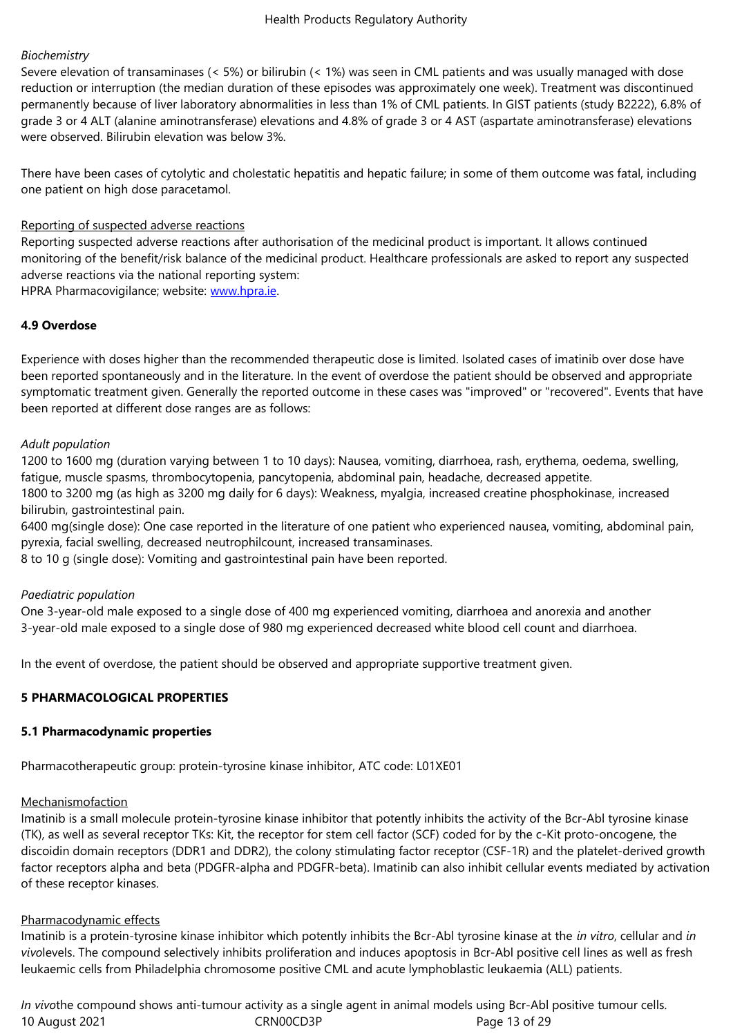*Biochemistry* Severe elevation of transaminases (< 5%) or bilirubin (< 1%) was seen in CML patients and was usually managed with dose reduction or interruption (the median duration of these episodes was approximately one week). Treatment was discontinued permanently because of liver laboratory abnormalities in less than 1% of CML patients. In GIST patients (study B2222), 6.8% of grade 3 or 4 ALT (alanine aminotransferase) elevations and 4.8% of grade 3 or 4 AST (aspartate aminotransferase) elevations were observed. Bilirubin elevation was below 3%.

There have been cases of cytolytic and cholestatic hepatitis and hepatic failure; in some of them outcome was fatal, including one patient on high dose paracetamol.

#### Reporting of suspected adverse reactions

Reporting suspected adverse reactions after authorisation of the medicinal product is important. It allows continued monitoring of the benefit/risk balance of the medicinal product. Healthcare professionals are asked to report any suspected adverse reactions via the national reporting system:

HPRA Pharmacovigilance; website: www.hpra.ie.

## **4.9 Overdose**

Experience with doses higher than [the recomme](http://www.hpra.ie/)nded therapeutic dose is limited. Isolated cases of imatinib over dose have been reported spontaneously and in the literature. In the event of overdose the patient should be observed and appropriate symptomatic treatment given. Generally the reported outcome in these cases was "improved" or "recovered". Events that have been reported at different dose ranges are as follows:

## *Adult population*

1200 to 1600 mg (duration varying between 1 to 10 days): Nausea, vomiting, diarrhoea, rash, erythema, oedema, swelling, fatigue, muscle spasms, thrombocytopenia, pancytopenia, abdominal pain, headache, decreased appetite.

1800 to 3200 mg (as high as 3200 mg daily for 6 days): Weakness, myalgia, increased creatine phosphokinase, increased bilirubin, gastrointestinal pain.

6400 mg(single dose): One case reported in the literature of one patient who experienced nausea, vomiting, abdominal pain, pyrexia, facial swelling, decreased neutrophilcount, increased transaminases.

8 to 10 g (single dose): Vomiting and gastrointestinal pain have been reported.

#### *Paediatric population*

One 3-year-old male exposed to a single dose of 400 mg experienced vomiting, diarrhoea and anorexia and another 3-year-old male exposed to a single dose of 980 mg experienced decreased white blood cell count and diarrhoea.

In the event of overdose, the patient should be observed and appropriate supportive treatment given.

## **5 PHARMACOLOGICAL PROPERTIES**

## **5.1 Pharmacodynamic properties**

Pharmacotherapeutic group: protein-tyrosine kinase inhibitor, ATC code: L01XE01

#### Mechanismofaction

Imatinib is a small molecule protein-tyrosine kinase inhibitor that potently inhibits the activity of the Bcr-Abl tyrosine kinase (TK), as well as several receptor TKs: Kit, the receptor for stem cell factor (SCF) coded for by the c-Kit proto-oncogene, the discoidin domain receptors (DDR1 and DDR2), the colony stimulating factor receptor (CSF-1R) and the platelet-derived growth factor receptors alpha and beta (PDGFR-alpha and PDGFR-beta). Imatinib can also inhibit cellular events mediated by activation of these receptor kinases.

#### Pharmacodynamic effects

Imatinib is a protein-tyrosine kinase inhibitor which potently inhibits the Bcr-Abl tyrosine kinase at the *in vitro*, cellular and *in vivo*levels. The compound selectively inhibits proliferation and induces apoptosis in Bcr-Abl positive cell lines as well as fresh leukaemic cells from Philadelphia chromosome positive CML and acute lymphoblastic leukaemia (ALL) patients.

10 August 2021 **CRNOOCD3P** CRNOOCD3P Page 13 of 29 *In vivo*the compound shows anti-tumour activity as a single agent in animal models using Bcr-Abl positive tumour cells.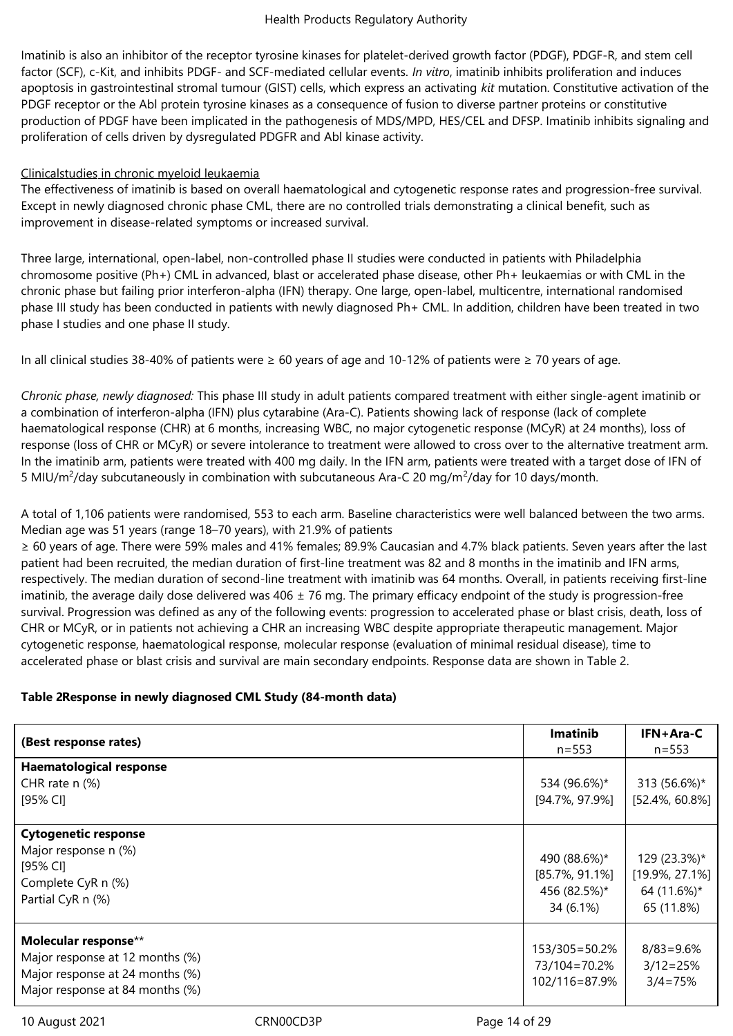Imatinib is also an inhibitor of the receptor tyrosine kinases for platelet-derived growth factor (PDGF), PDGF-R, and stem cell factor (SCF), c-Kit, and inhibits PDGF- and SCF-mediated cellular events. *In vitro*, imatinib inhibits proliferation and induces apoptosis in gastrointestinal stromal tumour (GIST) cells, which express an activating *kit* mutation. Constitutive activation of the PDGF receptor or the Abl protein tyrosine kinases as a consequence of fusion to diverse partner proteins or constitutive production of PDGF have been implicated in the pathogenesis of MDS/MPD, HES/CEL and DFSP. Imatinib inhibits signaling and proliferation of cells driven by dysregulated PDGFR and Abl kinase activity.

## Clinicalstudies in chronic myeloid leukaemia

The effectiveness of imatinib is based on overall haematological and cytogenetic response rates and progression-free survival. Except in newly diagnosed chronic phase CML, there are no controlled trials demonstrating a clinical benefit, such as improvement in disease-related symptoms or increased survival.

Three large, international, open-label, non-controlled phase II studies were conducted in patients with Philadelphia chromosome positive (Ph+) CML in advanced, blast or accelerated phase disease, other Ph+ leukaemias or with CML in the chronic phase but failing prior interferon-alpha (IFN) therapy. One large, open-label, multicentre, international randomised phase III study has been conducted in patients with newly diagnosed Ph+ CML. In addition, children have been treated in two phase I studies and one phase II study.

In all clinical studies 38-40% of patients were ≥ 60 years of age and 10-12% of patients were ≥ 70 years of age.

*Chronic phase, newly diagnosed:* This phase III study in adult patients compared treatment with either single-agent imatinib or a combination of interferon-alpha (IFN) plus cytarabine (Ara-C). Patients showing lack of response (lack of complete haematological response (CHR) at 6 months, increasing WBC, no major cytogenetic response (MCyR) at 24 months), loss of response (loss of CHR or MCyR) or severe intolerance to treatment were allowed to cross over to the alternative treatment arm. In the imatinib arm, patients were treated with 400 mg daily. In the IFN arm, patients were treated with a target dose of IFN of 5 MIU/m<sup>2</sup>/day subcutaneously in combination with subcutaneous Ara-C 20 mg/m<sup>2</sup>/day for 10 days/month.

A total of 1,106 patients were randomised, 553 to each arm. Baseline characteristics were well balanced between the two arms. Median age was 51 years (range 18–70 years), with 21.9% of patients

≥ 60 years of age. There were 59% males and 41% females; 89.9% Caucasian and 4.7% black patients. Seven years after the last patient had been recruited, the median duration of first-line treatment was 82 and 8 months in the imatinib and IFN arms, respectively. The median duration of second-line treatment with imatinib was 64 months. Overall, in patients receiving first-line imatinib, the average daily dose delivered was  $406 \pm 76$  mg. The primary efficacy endpoint of the study is progression-free survival. Progression was defined as any of the following events: progression to accelerated phase or blast crisis, death, loss of CHR or MCyR, or in patients not achieving a CHR an increasing WBC despite appropriate therapeutic management. Major cytogenetic response, haematological response, molecular response (evaluation of minimal residual disease), time to accelerated phase or blast crisis and survival are main secondary endpoints. Response data are shown in Table 2.

## **Table 2Response in newly diagnosed CML Study (84-month data)**

| (Best response rates)                                                                                                         | <b>Imatinib</b><br>$n = 553$                                    | IFN+Ara-C<br>$n = 553$                                          |
|-------------------------------------------------------------------------------------------------------------------------------|-----------------------------------------------------------------|-----------------------------------------------------------------|
| <b>Haematological response</b><br>CHR rate $n$ (%)<br>[95% CI]                                                                | 534 (96.6%)*<br>$[94.7\%, 97.9\%]$                              | 313 (56.6%)*<br>$[52.4\%, 60.8\%]$                              |
| <b>Cytogenetic response</b><br>Major response n (%)<br>$[95%$ CI]<br>Complete CyR n (%)<br>Partial CyR n (%)                  | 490 (88.6%)*<br>$[85.7\%, 91.1\%]$<br>456 (82.5%)*<br>34 (6.1%) | 129 (23.3%)*<br>$[19.9\%, 27.1\%]$<br>64 (11.6%)*<br>65 (11.8%) |
| Molecular response**<br>Major response at 12 months (%)<br>Major response at 24 months (%)<br>Major response at 84 months (%) | 153/305=50.2%<br>73/104=70.2%<br>102/116=87.9%                  | $8/83 = 9.6%$<br>$3/12 = 25%$<br>$3/4 = 75%$                    |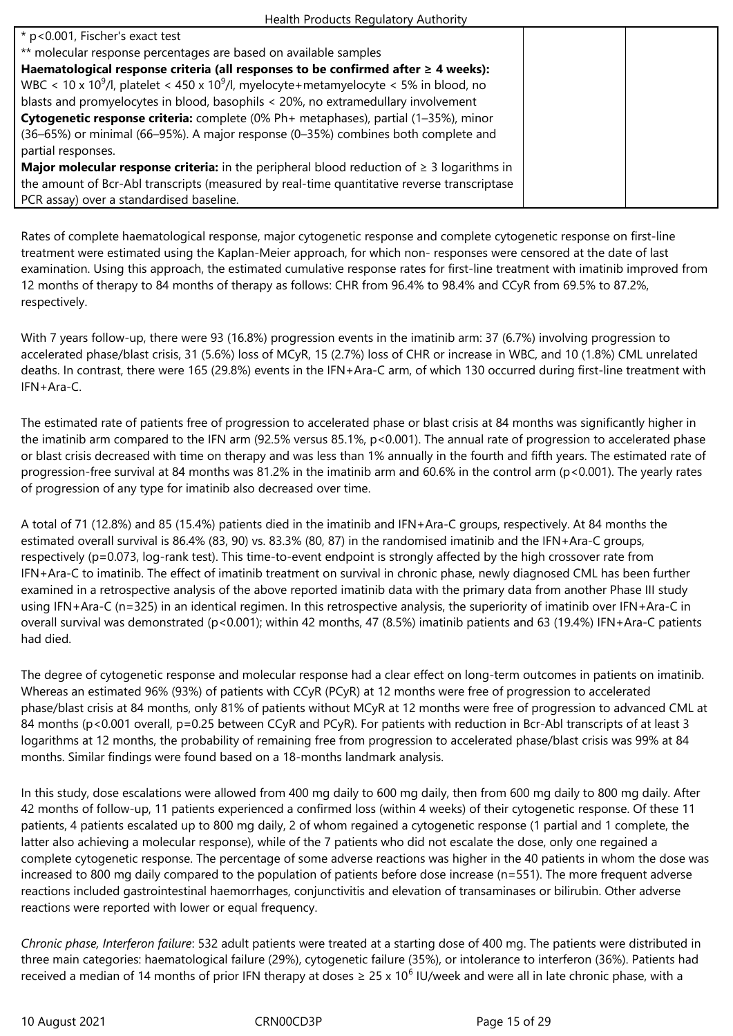| * p<0.001, Fischer's exact test                                                                               |  |
|---------------------------------------------------------------------------------------------------------------|--|
| ** molecular response percentages are based on available samples                                              |  |
| Haematological response criteria (all responses to be confirmed after $\geq 4$ weeks):                        |  |
| WBC < 10 x 10 <sup>9</sup> /l, platelet < 450 x 10 <sup>9</sup> /l, myelocyte+metamyelocyte < 5% in blood, no |  |
| blasts and promyelocytes in blood, basophils < 20%, no extramedullary involvement                             |  |
| Cytogenetic response criteria: complete (0% Ph+ metaphases), partial (1-35%), minor                           |  |
| (36–65%) or minimal (66–95%). A major response (0–35%) combines both complete and                             |  |
| partial responses.                                                                                            |  |
| <b>Major molecular response criteria:</b> in the peripheral blood reduction of $\geq 3$ logarithms in         |  |
| the amount of Bcr-Abl transcripts (measured by real-time quantitative reverse transcriptase                   |  |
| PCR assay) over a standardised baseline.                                                                      |  |

Rates of complete haematological response, major cytogenetic response and complete cytogenetic response on first-line treatment were estimated using the Kaplan-Meier approach, for which non- responses were censored at the date of last examination. Using this approach, the estimated cumulative response rates for first-line treatment with imatinib improved from 12 months of therapy to 84 months of therapy as follows: CHR from 96.4% to 98.4% and CCyR from 69.5% to 87.2%, respectively.

With 7 years follow-up, there were 93 (16.8%) progression events in the imatinib arm: 37 (6.7%) involving progression to accelerated phase/blast crisis, 31 (5.6%) loss of MCyR, 15 (2.7%) loss of CHR or increase in WBC, and 10 (1.8%) CML unrelated deaths. In contrast, there were 165 (29.8%) events in the IFN+Ara-C arm, of which 130 occurred during first-line treatment with IFN+Ara-C.

The estimated rate of patients free of progression to accelerated phase or blast crisis at 84 months was significantly higher in the imatinib arm compared to the IFN arm (92.5% versus 85.1%, p<0.001). The annual rate of progression to accelerated phase or blast crisis decreased with time on therapy and was less than 1% annually in the fourth and fifth years. The estimated rate of progression-free survival at 84 months was 81.2% in the imatinib arm and 60.6% in the control arm (p<0.001). The yearly rates of progression of any type for imatinib also decreased over time.

A total of 71 (12.8%) and 85 (15.4%) patients died in the imatinib and IFN+Ara-C groups, respectively. At 84 months the estimated overall survival is 86.4% (83, 90) vs. 83.3% (80, 87) in the randomised imatinib and the IFN+Ara-C groups, respectively (p=0.073, log-rank test). This time-to-event endpoint is strongly affected by the high crossover rate from IFN+Ara-C to imatinib. The effect of imatinib treatment on survival in chronic phase, newly diagnosed CML has been further examined in a retrospective analysis of the above reported imatinib data with the primary data from another Phase III study using IFN+Ara-C (n=325) in an identical regimen. In this retrospective analysis, the superiority of imatinib over IFN+Ara-C in overall survival was demonstrated (p<0.001); within 42 months, 47 (8.5%) imatinib patients and 63 (19.4%) IFN+Ara-C patients had died.

The degree of cytogenetic response and molecular response had a clear effect on long-term outcomes in patients on imatinib. Whereas an estimated 96% (93%) of patients with CCyR (PCyR) at 12 months were free of progression to accelerated phase/blast crisis at 84 months, only 81% of patients without MCyR at 12 months were free of progression to advanced CML at 84 months (p<0.001 overall, p=0.25 between CCyR and PCyR). For patients with reduction in Bcr-Abl transcripts of at least 3 logarithms at 12 months, the probability of remaining free from progression to accelerated phase/blast crisis was 99% at 84 months. Similar findings were found based on a 18-months landmark analysis.

In this study, dose escalations were allowed from 400 mg daily to 600 mg daily, then from 600 mg daily to 800 mg daily. After 42 months of follow-up, 11 patients experienced a confirmed loss (within 4 weeks) of their cytogenetic response. Of these 11 patients, 4 patients escalated up to 800 mg daily, 2 of whom regained a cytogenetic response (1 partial and 1 complete, the latter also achieving a molecular response), while of the 7 patients who did not escalate the dose, only one regained a complete cytogenetic response. The percentage of some adverse reactions was higher in the 40 patients in whom the dose was increased to 800 mg daily compared to the population of patients before dose increase (n=551). The more frequent adverse reactions included gastrointestinal haemorrhages, conjunctivitis and elevation of transaminases or bilirubin. Other adverse reactions were reported with lower or equal frequency.

*Chronic phase, Interferon failure*: 532 adult patients were treated at a starting dose of 400 mg. The patients were distributed in three main categories: haematological failure (29%), cytogenetic failure (35%), or intolerance to interferon (36%). Patients had received a median of 14 months of prior IFN therapy at doses  $\geq 25$  x 10<sup>6</sup> IU/week and were all in late chronic phase, with a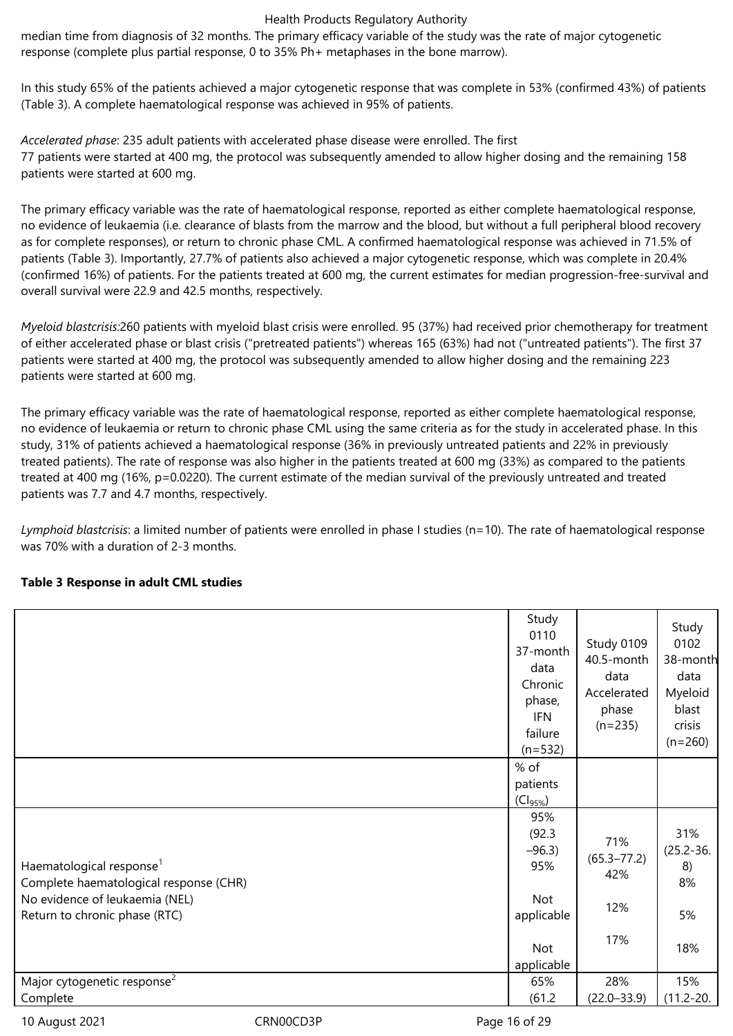median time from diagnosis of 32 months. The primary efficacy variable of the study was the rate of major cytogenetic response (complete plus partial response, 0 to 35% Ph+ metaphases in the bone marrow).

In this study 65% of the patients achieved a major cytogenetic response that was complete in 53% (confirmed 43%) of patients (Table 3). A complete haematological response was achieved in 95% of patients.

*Accelerated phase*: 235 adult patients with accelerated phase disease were enrolled. The first 77 patients were started at 400 mg, the protocol was subsequently amended to allow higher dosing and the remaining 158 patients were started at 600 mg.

The primary efficacy variable was the rate of haematological response, reported as either complete haematological response, no evidence of leukaemia (i.e. clearance of blasts from the marrow and the blood, but without a full peripheral blood recovery as for complete responses), or return to chronic phase CML. A confirmed haematological response was achieved in 71.5% of patients (Table 3). Importantly, 27.7% of patients also achieved a major cytogenetic response, which was complete in 20.4% (confirmed 16%) of patients. For the patients treated at 600 mg, the current estimates for median progression-free-survival and overall survival were 22.9 and 42.5 months, respectively.

*Myeloid blastcrisis:*260 patients with myeloid blast crisis were enrolled. 95 (37%) had received prior chemotherapy for treatment of either accelerated phase or blast crisis ("pretreated patients") whereas 165 (63%) had not ("untreated patients"). The first 37 patients were started at 400 mg, the protocol was subsequently amended to allow higher dosing and the remaining 223 patients were started at 600 mg.

The primary efficacy variable was the rate of haematological response, reported as either complete haematological response, no evidence of leukaemia or return to chronic phase CML using the same criteria as for the study in accelerated phase. In this study, 31% of patients achieved a haematological response (36% in previously untreated patients and 22% in previously treated patients). The rate of response was also higher in the patients treated at 600 mg (33%) as compared to the patients treated at 400 mg (16%, p=0.0220). The current estimate of the median survival of the previously untreated and treated patients was 7.7 and 4.7 months, respectively.

*Lymphoid blastcrisis*: a limited number of patients were enrolled in phase I studies (n=10). The rate of haematological response was 70% with a duration of 2-3 months.

## **Table 3 Response in adult CML studies**

|                                                                                                                                                   | Study<br>0110<br>37-month<br>data<br>Chronic<br>phase,<br><b>IFN</b><br>failure<br>$(n=532)$ | Study 0109<br>40.5-month<br>data<br>Accelerated<br>phase<br>$(n=235)$ | Study<br>0102<br>38-month<br>data<br>Myeloid<br>blast<br>crisis<br>$(n=260)$ |
|---------------------------------------------------------------------------------------------------------------------------------------------------|----------------------------------------------------------------------------------------------|-----------------------------------------------------------------------|------------------------------------------------------------------------------|
|                                                                                                                                                   | % of<br>patients<br>$(Cl_{95\%})$                                                            |                                                                       |                                                                              |
| Haematological response <sup>1</sup><br>Complete haematological response (CHR)<br>No evidence of leukaemia (NEL)<br>Return to chronic phase (RTC) | 95%<br>(92.3)<br>$-96.3$<br>95%<br>Not<br>applicable                                         | 71%<br>$(65.3 - 77.2)$<br>42%<br>12%                                  | 31%<br>$(25.2 - 36.$<br>8)<br>8%<br>5%                                       |
|                                                                                                                                                   | Not<br>applicable                                                                            | 17%                                                                   | 18%                                                                          |
| Major cytogenetic response <sup>2</sup><br>Complete                                                                                               | 65%<br>(61.2)                                                                                | 28%<br>$(22.0 - 33.9)$                                                | 15%<br>$(11.2 - 20.$                                                         |

10 August 2021 **CRNOOCD3P** CRNOOCD3P Page 16 of 29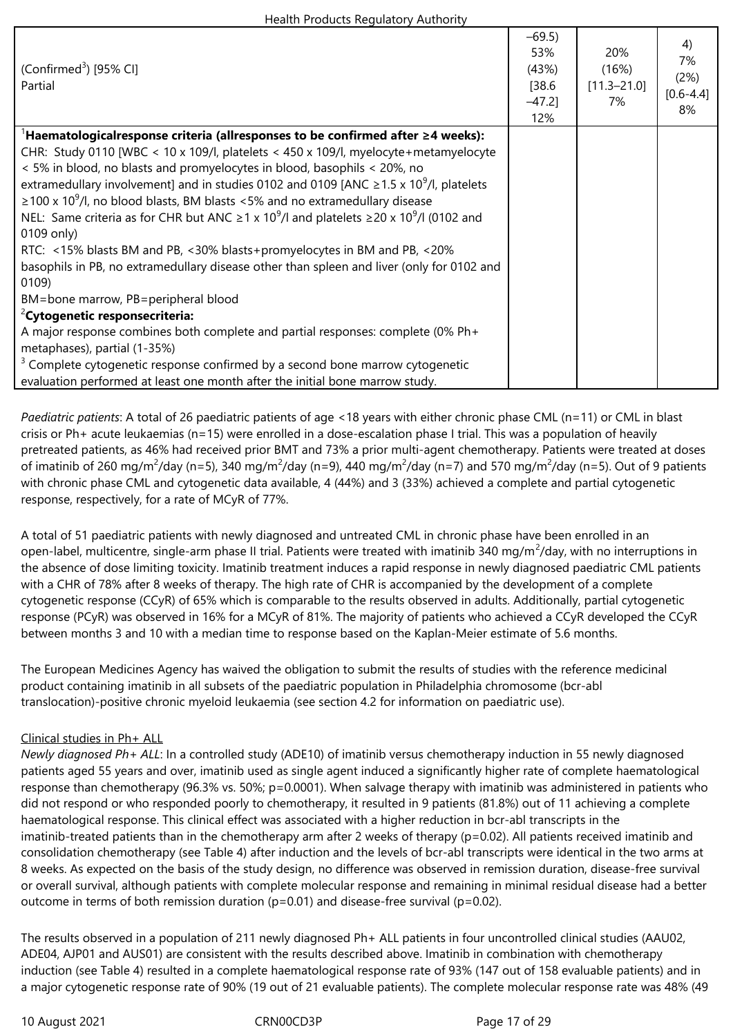| (Confirmed <sup>3</sup> ) [95% CI]<br>Partial                                                                              | $-69.5$<br>53%<br>(43%)<br>[38.6]<br>$-47.2$ ]<br>12% | 20%<br>(16%)<br>$[11.3 - 21.0]$<br>7% | 4)<br>7%<br>(2%)<br>$[0.6 - 4.4]$<br>8% |
|----------------------------------------------------------------------------------------------------------------------------|-------------------------------------------------------|---------------------------------------|-----------------------------------------|
| $^{\rm l}$ Haematologicalresponse criteria (allresponses to be confirmed after $\geq$ 4 weeks):                            |                                                       |                                       |                                         |
| CHR: Study 0110 [WBC < 10 x 109/l, platelets < 450 x 109/l, myelocyte+metamyelocyte                                        |                                                       |                                       |                                         |
| < 5% in blood, no blasts and promyelocytes in blood, basophils < 20%, no                                                   |                                                       |                                       |                                         |
| extramedullary involvement] and in studies 0102 and 0109 [ANC $\geq$ 1.5 x 10 <sup>9</sup> /l, platelets                   |                                                       |                                       |                                         |
| $\geq$ 100 x 10 <sup>9</sup> /l, no blood blasts, BM blasts <5% and no extramedullary disease                              |                                                       |                                       |                                         |
| NEL: Same criteria as for CHR but ANC $\geq$ 1 x 10 <sup>9</sup> /l and platelets $\geq$ 20 x 10 <sup>9</sup> /l (0102 and |                                                       |                                       |                                         |
| 0109 only)                                                                                                                 |                                                       |                                       |                                         |
| RTC: <15% blasts BM and PB, <30% blasts+promyelocytes in BM and PB, <20%                                                   |                                                       |                                       |                                         |
| basophils in PB, no extramedullary disease other than spleen and liver (only for 0102 and                                  |                                                       |                                       |                                         |
| 0109)                                                                                                                      |                                                       |                                       |                                         |
| BM=bone marrow, PB=peripheral blood                                                                                        |                                                       |                                       |                                         |
| <sup>2</sup> Cytogenetic responsecriteria:                                                                                 |                                                       |                                       |                                         |
| A major response combines both complete and partial responses: complete (0% Ph+                                            |                                                       |                                       |                                         |
| metaphases), partial (1-35%)                                                                                               |                                                       |                                       |                                         |
| <sup>3</sup> Complete cytogenetic response confirmed by a second bone marrow cytogenetic                                   |                                                       |                                       |                                         |
| evaluation performed at least one month after the initial bone marrow study.                                               |                                                       |                                       |                                         |

*Paediatric patients*: A total of 26 paediatric patients of age <18 years with either chronic phase CML (n=11) or CML in blast crisis or Ph+ acute leukaemias (n=15) were enrolled in a dose-escalation phase I trial. This was a population of heavily pretreated patients, as 46% had received prior BMT and 73% a prior multi-agent chemotherapy. Patients were treated at doses of imatinib of 260 mg/m<sup>2</sup>/day (n=5), 340 mg/m<sup>2</sup>/day (n=9), 440 mg/m<sup>2</sup>/day (n=7) and 570 mg/m<sup>2</sup>/day (n=5). Out of 9 patients with chronic phase CML and cytogenetic data available, 4 (44%) and 3 (33%) achieved a complete and partial cytogenetic response, respectively, for a rate of MCyR of 77%.

A total of 51 paediatric patients with newly diagnosed and untreated CML in chronic phase have been enrolled in an open-label, multicentre, single-arm phase II trial. Patients were treated with imatinib 340 mg/m<sup>2</sup>/day, with no interruptions in the absence of dose limiting toxicity. Imatinib treatment induces a rapid response in newly diagnosed paediatric CML patients with a CHR of 78% after 8 weeks of therapy. The high rate of CHR is accompanied by the development of a complete cytogenetic response (CCyR) of 65% which is comparable to the results observed in adults. Additionally, partial cytogenetic response (PCyR) was observed in 16% for a MCyR of 81%. The majority of patients who achieved a CCyR developed the CCyR between months 3 and 10 with a median time to response based on the Kaplan-Meier estimate of 5.6 months.

The European Medicines Agency has waived the obligation to submit the results of studies with the reference medicinal product containing imatinib in all subsets of the paediatric population in Philadelphia chromosome (bcr-abl translocation)-positive chronic myeloid leukaemia (see section 4.2 for information on paediatric use).

## Clinical studies in Ph+ ALL

*Newly diagnosed Ph+ ALL*: In a controlled study (ADE10) of imatinib versus chemotherapy induction in 55 newly diagnosed patients aged 55 years and over, imatinib used as single agent induced a significantly higher rate of complete haematological response than chemotherapy (96.3% vs. 50%; p=0.0001). When salvage therapy with imatinib was administered in patients who did not respond or who responded poorly to chemotherapy, it resulted in 9 patients (81.8%) out of 11 achieving a complete haematological response. This clinical effect was associated with a higher reduction in bcr-abl transcripts in the imatinib-treated patients than in the chemotherapy arm after 2 weeks of therapy (p=0.02). All patients received imatinib and consolidation chemotherapy (see Table 4) after induction and the levels of bcr-abl transcripts were identical in the two arms at 8 weeks. As expected on the basis of the study design, no difference was observed in remission duration, disease-free survival or overall survival, although patients with complete molecular response and remaining in minimal residual disease had a better outcome in terms of both remission duration ( $p=0.01$ ) and disease-free survival ( $p=0.02$ ).

The results observed in a population of 211 newly diagnosed Ph+ ALL patients in four uncontrolled clinical studies (AAU02, ADE04, AJP01 and AUS01) are consistent with the results described above. Imatinib in combination with chemotherapy induction (see Table 4) resulted in a complete haematological response rate of 93% (147 out of 158 evaluable patients) and in a major cytogenetic response rate of 90% (19 out of 21 evaluable patients). The complete molecular response rate was 48% (49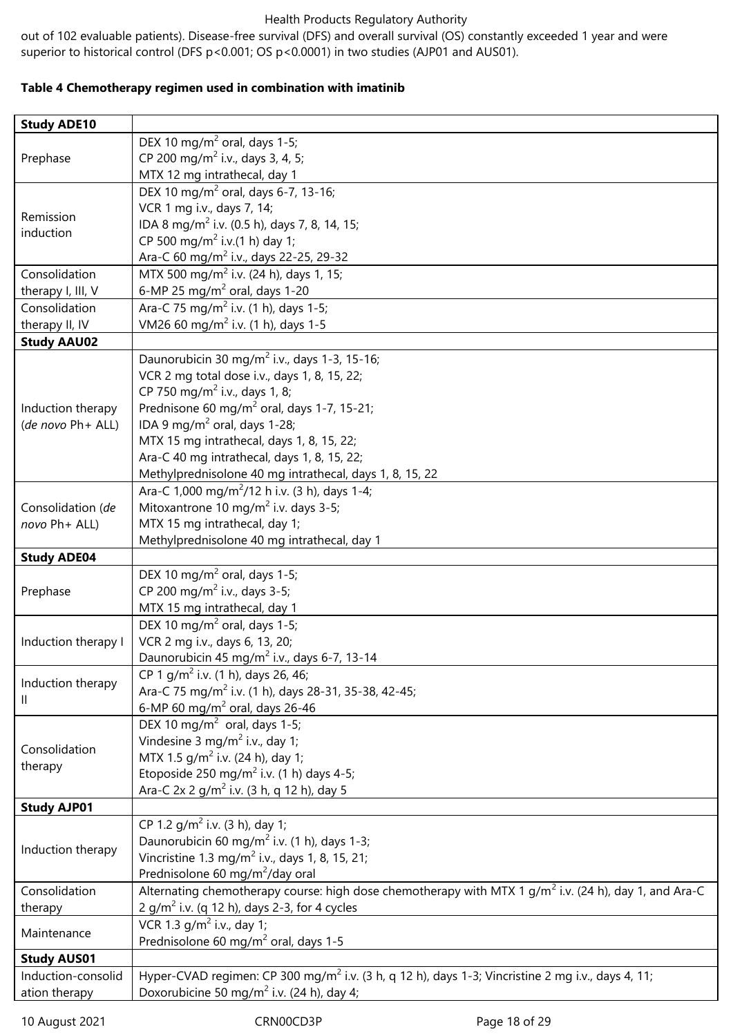out of 102 evaluable patients). Disease-free survival (DFS) and overall survival (OS) constantly exceeded 1 year and were superior to historical control (DFS p<0.001; OS p<0.0001) in two studies (AJP01 and AUS01).

## **Table 4 Chemotherapy regimen used in combination with imatinib**

| <b>Study ADE10</b>  |                                                                                                               |
|---------------------|---------------------------------------------------------------------------------------------------------------|
|                     | DEX 10 mg/m <sup>2</sup> oral, days 1-5;                                                                      |
| Prephase            | CP 200 mg/m <sup>2</sup> i.v., days 3, 4, 5;                                                                  |
|                     | MTX 12 mg intrathecal, day 1                                                                                  |
|                     | DEX 10 mg/m <sup>2</sup> oral, days 6-7, 13-16;                                                               |
|                     | VCR 1 mg i.v., days 7, 14;                                                                                    |
| Remission           | IDA 8 mg/m <sup>2</sup> i.v. (0.5 h), days 7, 8, 14, 15;                                                      |
| induction           | CP 500 mg/m <sup>2</sup> i.v.(1 h) day 1;                                                                     |
|                     | Ara-C 60 mg/m <sup>2</sup> i.v., days 22-25, 29-32                                                            |
| Consolidation       | MTX 500 mg/m <sup>2</sup> i.v. (24 h), days 1, 15;                                                            |
| therapy I, III, V   | 6-MP 25 mg/m <sup>2</sup> oral, days 1-20                                                                     |
| Consolidation       | Ara-C 75 mg/m <sup>2</sup> i.v. (1 h), days 1-5;                                                              |
| therapy II, IV      | VM26 60 mg/m <sup>2</sup> i.v. (1 h), days 1-5                                                                |
| <b>Study AAU02</b>  |                                                                                                               |
|                     | Daunorubicin 30 mg/m <sup>2</sup> i.v., days 1-3, 15-16;                                                      |
|                     | VCR 2 mg total dose i.v., days 1, 8, 15, 22;                                                                  |
|                     | CP 750 mg/m <sup>2</sup> i.v., days 1, 8;                                                                     |
| Induction therapy   | Prednisone 60 mg/m <sup>2</sup> oral, days 1-7, 15-21;                                                        |
| (de novo Ph+ ALL)   | IDA 9 mg/m <sup>2</sup> oral, days 1-28;                                                                      |
|                     | MTX 15 mg intrathecal, days 1, 8, 15, 22;                                                                     |
|                     | Ara-C 40 mg intrathecal, days 1, 8, 15, 22;                                                                   |
|                     | Methylprednisolone 40 mg intrathecal, days 1, 8, 15, 22                                                       |
|                     | Ara-C 1,000 mg/m <sup>2</sup> /12 h i.v. (3 h), days 1-4;                                                     |
| Consolidation (de   | Mitoxantrone 10 mg/m <sup>2</sup> i.v. days 3-5;                                                              |
| novo Ph+ ALL)       | MTX 15 mg intrathecal, day 1;                                                                                 |
|                     | Methylprednisolone 40 mg intrathecal, day 1                                                                   |
| <b>Study ADE04</b>  |                                                                                                               |
|                     | DEX 10 mg/m <sup>2</sup> oral, days 1-5;                                                                      |
| Prephase            | CP 200 mg/m <sup>2</sup> i.v., days 3-5;                                                                      |
|                     | MTX 15 mg intrathecal, day 1                                                                                  |
|                     | DEX 10 mg/m <sup>2</sup> oral, days 1-5;                                                                      |
| Induction therapy I | VCR 2 mg i.v., days 6, 13, 20;                                                                                |
|                     | Daunorubicin 45 mg/m <sup>2</sup> i.v., days 6-7, 13-14                                                       |
| Induction therapy   | CP 1 g/m <sup>2</sup> i.v. (1 h), days 26, 46;                                                                |
| Ш                   | Ara-C 75 mg/m <sup>2</sup> i.v. (1 h), days 28-31, 35-38, 42-45;                                              |
|                     | 6-MP 60 mg/m <sup>2</sup> oral, days 26-46<br>DEX 10 mg/m <sup>2</sup> oral, days 1-5;                        |
|                     | Vindesine 3 mg/m <sup>2</sup> i.v., day 1;                                                                    |
| Consolidation       | MTX 1.5 g/m <sup>2</sup> i.v. (24 h), day 1;                                                                  |
| therapy             | Etoposide 250 mg/m <sup>2</sup> i.v. (1 h) days 4-5;                                                          |
|                     | Ara-C 2x 2 g/m <sup>2</sup> i.v. (3 h, q 12 h), day 5                                                         |
| <b>Study AJP01</b>  |                                                                                                               |
|                     | CP 1.2 $q/m^2$ i.v. (3 h), day 1;                                                                             |
|                     | Daunorubicin 60 mg/m <sup>2</sup> i.v. (1 h), days 1-3;                                                       |
| Induction therapy   | Vincristine 1.3 mg/m <sup>2</sup> i.v., days 1, 8, 15, 21;                                                    |
|                     | Prednisolone 60 mg/m <sup>2</sup> /day oral                                                                   |
| Consolidation       | Alternating chemotherapy course: high dose chemotherapy with MTX 1 $g/m^2$ i.v. (24 h), day 1, and Ara-C      |
| therapy             | 2 g/m <sup>2</sup> i.v. (q 12 h), days 2-3, for 4 cycles                                                      |
|                     | VCR 1.3 $q/m^2$ i.v., day 1;                                                                                  |
| Maintenance         | Prednisolone 60 mg/m <sup>2</sup> oral, days 1-5                                                              |
| <b>Study AUS01</b>  |                                                                                                               |
| Induction-consolid  | Hyper-CVAD regimen: CP 300 mg/m <sup>2</sup> i.v. (3 h, q 12 h), days 1-3; Vincristine 2 mg i.v., days 4, 11; |
| ation therapy       | Doxorubicine 50 mg/m <sup>2</sup> i.v. (24 h), day 4;                                                         |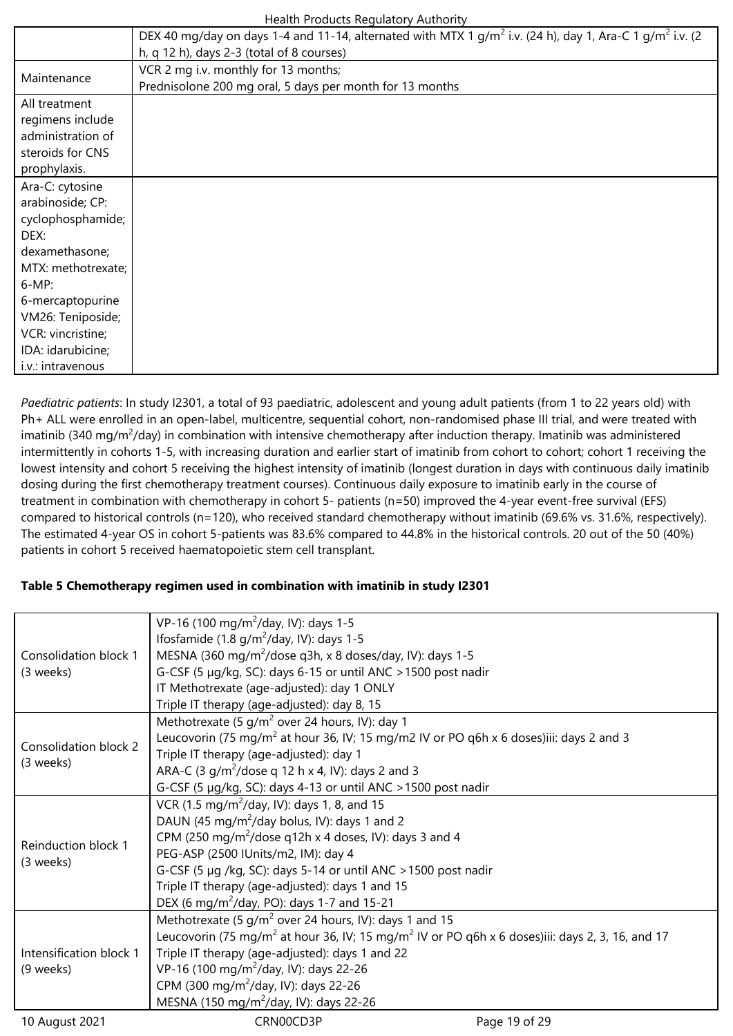|                    | Health Products Regulatory Authority                                                                                             |
|--------------------|----------------------------------------------------------------------------------------------------------------------------------|
|                    | DEX 40 mg/day on days 1-4 and 11-14, alternated with MTX 1 g/m <sup>2</sup> i.v. (24 h), day 1, Ara-C 1 g/m <sup>2</sup> i.v. (2 |
|                    | h, q 12 h), days 2-3 (total of 8 courses)                                                                                        |
| Maintenance        | VCR 2 mg i.v. monthly for 13 months;                                                                                             |
|                    | Prednisolone 200 mg oral, 5 days per month for 13 months                                                                         |
| All treatment      |                                                                                                                                  |
| regimens include   |                                                                                                                                  |
| administration of  |                                                                                                                                  |
| steroids for CNS   |                                                                                                                                  |
| prophylaxis.       |                                                                                                                                  |
| Ara-C: cytosine    |                                                                                                                                  |
| arabinoside; CP:   |                                                                                                                                  |
| cyclophosphamide;  |                                                                                                                                  |
| DEX:               |                                                                                                                                  |
| dexamethasone;     |                                                                                                                                  |
| MTX: methotrexate; |                                                                                                                                  |
| $6-MP$ :           |                                                                                                                                  |
| 6-mercaptopurine   |                                                                                                                                  |
| VM26: Teniposide;  |                                                                                                                                  |
| VCR: vincristine;  |                                                                                                                                  |
| IDA: idarubicine;  |                                                                                                                                  |
| i.v.: intravenous  |                                                                                                                                  |

*Paediatric patients*: In study I2301, a total of 93 paediatric, adolescent and young adult patients (from 1 to 22 years old) with Ph+ ALL were enrolled in an open-label, multicentre, sequential cohort, non-randomised phase III trial, and were treated with imatinib (340 mg/m<sup>2</sup>/day) in combination with intensive chemotherapy after induction therapy. Imatinib was administered intermittently in cohorts 1-5, with increasing duration and earlier start of imatinib from cohort to cohort; cohort 1 receiving the lowest intensity and cohort 5 receiving the highest intensity of imatinib (longest duration in days with continuous daily imatinib dosing during the first chemotherapy treatment courses). Continuous daily exposure to imatinib early in the course of treatment in combination with chemotherapy in cohort 5- patients (n=50) improved the 4-year event-free survival (EFS) compared to historical controls (n=120), who received standard chemotherapy without imatinib (69.6% vs. 31.6%, respectively). The estimated 4-year OS in cohort 5-patients was 83.6% compared to 44.8% in the historical controls. 20 out of the 50 (40%) patients in cohort 5 received haematopoietic stem cell transplant.

## **Table 5 Chemotherapy regimen used in combination with imatinib in study I2301**

|                         | VP-16 (100 mg/m <sup>2</sup> /day, IV): days 1-5                                                                        |               |  |  |
|-------------------------|-------------------------------------------------------------------------------------------------------------------------|---------------|--|--|
| Consolidation block 1   | Ifosfamide (1.8 $g/m^2$ /day, IV): days 1-5                                                                             |               |  |  |
|                         | MESNA (360 mg/m <sup>2</sup> /dose q3h, x 8 doses/day, IV): days 1-5                                                    |               |  |  |
| (3 weeks)               | G-CSF (5 µg/kg, SC): days 6-15 or until ANC > 1500 post nadir                                                           |               |  |  |
|                         | IT Methotrexate (age-adjusted): day 1 ONLY                                                                              |               |  |  |
|                         | Triple IT therapy (age-adjusted): day 8, 15                                                                             |               |  |  |
|                         | Methotrexate (5 $q/m^2$ over 24 hours, IV): day 1                                                                       |               |  |  |
| Consolidation block 2   | Leucovorin (75 mg/m <sup>2</sup> at hour 36, IV; 15 mg/m2 IV or PO q6h x 6 doses)iii: days 2 and 3                      |               |  |  |
| (3 weeks)               | Triple IT therapy (age-adjusted): day 1                                                                                 |               |  |  |
|                         | ARA-C (3 g/m <sup>2</sup> /dose g 12 h x 4, IV): days 2 and 3                                                           |               |  |  |
|                         | G-CSF (5 µg/kg, SC): days 4-13 or until ANC > 1500 post nadir                                                           |               |  |  |
|                         | VCR (1.5 mg/m <sup>2</sup> /day, IV): days 1, 8, and 15                                                                 |               |  |  |
|                         | DAUN (45 mg/m <sup>2</sup> /day bolus, IV): days 1 and 2                                                                |               |  |  |
| Reinduction block 1     | CPM (250 mg/m <sup>2</sup> /dose q12h x 4 doses, IV): days 3 and 4                                                      |               |  |  |
| (3 weeks)               | PEG-ASP (2500 IUnits/m2, IM): day 4                                                                                     |               |  |  |
|                         | G-CSF (5 µg /kg, SC): days 5-14 or until ANC > 1500 post nadir                                                          |               |  |  |
|                         | Triple IT therapy (age-adjusted): days 1 and 15                                                                         |               |  |  |
|                         | DEX (6 mg/m <sup>2</sup> /day, PO): days 1-7 and 15-21                                                                  |               |  |  |
|                         | Methotrexate (5 $q/m^2$ over 24 hours, IV): days 1 and 15                                                               |               |  |  |
| Intensification block 1 | Leucovorin (75 mg/m <sup>2</sup> at hour 36, IV; 15 mg/m <sup>2</sup> IV or PO q6h x 6 doses)iii: days 2, 3, 16, and 17 |               |  |  |
|                         | Triple IT therapy (age-adjusted): days 1 and 22                                                                         |               |  |  |
| (9 weeks)               | VP-16 (100 mg/m <sup>2</sup> /day, IV): days 22-26                                                                      |               |  |  |
|                         | CPM (300 mg/m <sup>2</sup> /day, IV): days 22-26                                                                        |               |  |  |
|                         | MESNA (150 mg/m <sup>2</sup> /day, IV): days 22-26                                                                      |               |  |  |
| 10 August 2021          | CRN00CD3P                                                                                                               | Page 19 of 29 |  |  |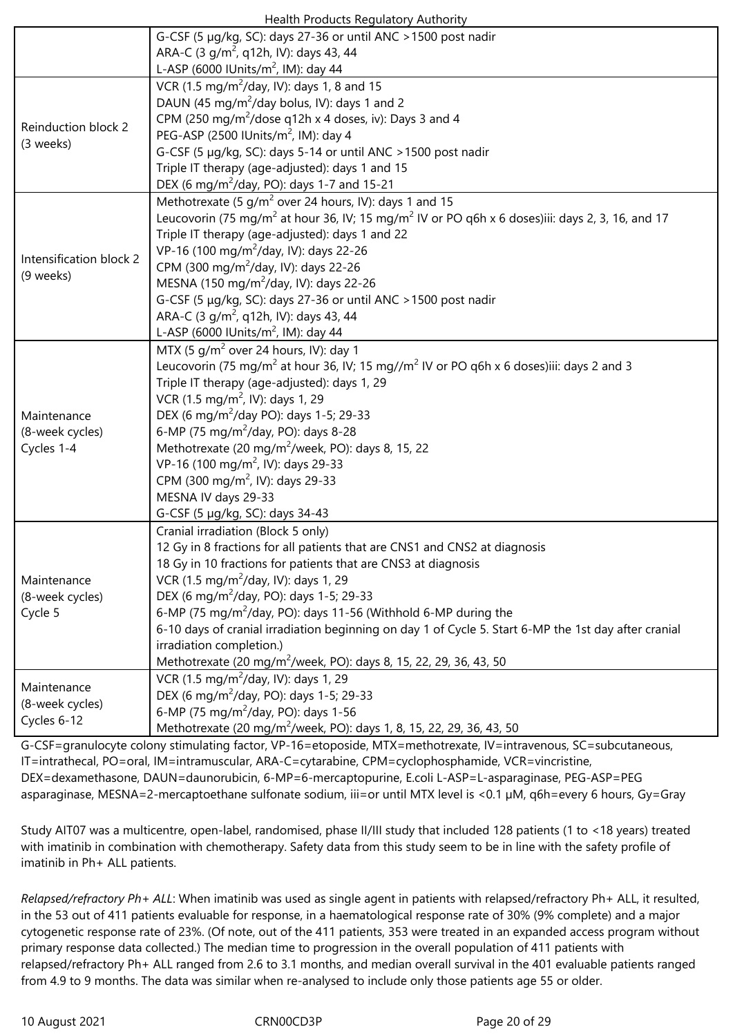| Health Products Regulatory Authority |  |
|--------------------------------------|--|
|--------------------------------------|--|

| Health Products Regulatory Authority |                                                                                                                         |  |  |  |  |  |
|--------------------------------------|-------------------------------------------------------------------------------------------------------------------------|--|--|--|--|--|
|                                      | G-CSF (5 µg/kg, SC): days 27-36 or until ANC > 1500 post nadir                                                          |  |  |  |  |  |
|                                      | ARA-C (3 g/m <sup>2</sup> , q12h, IV): days 43, 44                                                                      |  |  |  |  |  |
|                                      | L-ASP (6000 IUnits/m <sup>2</sup> , IM): day 44                                                                         |  |  |  |  |  |
|                                      | VCR (1.5 mg/m <sup>2</sup> /day, IV): days 1, 8 and 15                                                                  |  |  |  |  |  |
|                                      | DAUN (45 mg/m <sup>2</sup> /day bolus, IV): days 1 and 2                                                                |  |  |  |  |  |
|                                      | CPM (250 mg/m <sup>2</sup> /dose q12h x 4 doses, iv): Days 3 and 4                                                      |  |  |  |  |  |
| Reinduction block 2<br>(3 weeks)     | PEG-ASP (2500 IUnits/m <sup>2</sup> , IM): day 4                                                                        |  |  |  |  |  |
|                                      | G-CSF (5 µg/kg, SC): days 5-14 or until ANC > 1500 post nadir                                                           |  |  |  |  |  |
|                                      | Triple IT therapy (age-adjusted): days 1 and 15                                                                         |  |  |  |  |  |
|                                      | DEX (6 mg/m <sup>2</sup> /day, PO): days 1-7 and 15-21                                                                  |  |  |  |  |  |
|                                      | Methotrexate (5 $q/m^2$ over 24 hours, IV): days 1 and 15                                                               |  |  |  |  |  |
|                                      | Leucovorin (75 mg/m <sup>2</sup> at hour 36, IV; 15 mg/m <sup>2</sup> IV or PO q6h x 6 doses)iii: days 2, 3, 16, and 17 |  |  |  |  |  |
|                                      | Triple IT therapy (age-adjusted): days 1 and 22                                                                         |  |  |  |  |  |
| Intensification block 2              | VP-16 (100 mg/m <sup>2</sup> /day, IV): days 22-26                                                                      |  |  |  |  |  |
|                                      | CPM (300 mg/m <sup>2</sup> /day, IV): days 22-26                                                                        |  |  |  |  |  |
| (9 weeks)                            | MESNA (150 mg/m <sup>2</sup> /day, IV): days 22-26                                                                      |  |  |  |  |  |
|                                      | G-CSF (5 µg/kg, SC): days 27-36 or until ANC > 1500 post nadir                                                          |  |  |  |  |  |
|                                      | ARA-C (3 g/m <sup>2</sup> , q12h, IV): days 43, 44                                                                      |  |  |  |  |  |
|                                      | L-ASP (6000 IUnits/m <sup>2</sup> , IM): day 44                                                                         |  |  |  |  |  |
|                                      | MTX (5 g/m <sup>2</sup> over 24 hours, IV): day 1                                                                       |  |  |  |  |  |
|                                      | Leucovorin (75 mg/m <sup>2</sup> at hour 36, IV; 15 mg//m <sup>2</sup> IV or PO q6h x 6 doses)iii: days 2 and 3         |  |  |  |  |  |
|                                      | Triple IT therapy (age-adjusted): days 1, 29                                                                            |  |  |  |  |  |
|                                      | VCR (1.5 mg/m <sup>2</sup> , IV): days 1, 29                                                                            |  |  |  |  |  |
| Maintenance                          | DEX (6 mg/m <sup>2</sup> /day PO): days 1-5; 29-33                                                                      |  |  |  |  |  |
| (8-week cycles)                      | 6-MP (75 mg/m <sup>2</sup> /day, PO): days 8-28                                                                         |  |  |  |  |  |
| Cycles 1-4                           | Methotrexate (20 mg/m <sup>2</sup> /week, PO): days 8, 15, 22                                                           |  |  |  |  |  |
|                                      | VP-16 (100 mg/m <sup>2</sup> , IV): days 29-33                                                                          |  |  |  |  |  |
|                                      | CPM (300 mg/m <sup>2</sup> , IV): days 29-33                                                                            |  |  |  |  |  |
|                                      | MESNA IV days 29-33                                                                                                     |  |  |  |  |  |
|                                      | G-CSF (5 µg/kg, SC): days 34-43                                                                                         |  |  |  |  |  |
|                                      | Cranial irradiation (Block 5 only)                                                                                      |  |  |  |  |  |
|                                      | 12 Gy in 8 fractions for all patients that are CNS1 and CNS2 at diagnosis                                               |  |  |  |  |  |
|                                      | 18 Gy in 10 fractions for patients that are CNS3 at diagnosis                                                           |  |  |  |  |  |
| Maintenance                          | VCR (1.5 mg/m <sup>2</sup> /day, IV): days 1, 29                                                                        |  |  |  |  |  |
| (8-week cycles)<br>Cycle 5           | DEX (6 mg/m <sup>2</sup> /day, PO): days 1-5; 29-33                                                                     |  |  |  |  |  |
|                                      | 6-MP (75 mg/m <sup>2</sup> /day, PO): days 11-56 (Withhold 6-MP during the                                              |  |  |  |  |  |
|                                      | 6-10 days of cranial irradiation beginning on day 1 of Cycle 5. Start 6-MP the 1st day after cranial                    |  |  |  |  |  |
|                                      | irradiation completion.)                                                                                                |  |  |  |  |  |
|                                      | Methotrexate (20 mg/m <sup>2</sup> /week, PO): days 8, 15, 22, 29, 36, 43, 50                                           |  |  |  |  |  |
|                                      | VCR (1.5 mg/m <sup>2</sup> /day, IV): days 1, 29                                                                        |  |  |  |  |  |
| Maintenance                          | DEX (6 mg/m <sup>2</sup> /day, PO): days 1-5; 29-33                                                                     |  |  |  |  |  |
| (8-week cycles)                      | 6-MP (75 mg/m <sup>2</sup> /day, PO): days 1-56                                                                         |  |  |  |  |  |
| Cycles 6-12                          | Methotrexate (20 mg/m <sup>2</sup> /week, PO): days 1, 8, 15, 22, 29, 36, 43, 50                                        |  |  |  |  |  |

G-CSF=granulocyte colony stimulating factor, VP-16=etoposide, MTX=methotrexate, IV=intravenous, SC=subcutaneous, IT=intrathecal, PO=oral, IM=intramuscular, ARA-C=cytarabine, CPM=cyclophosphamide, VCR=vincristine, DEX=dexamethasone, DAUN=daunorubicin, 6-MP=6-mercaptopurine, E.coli L-ASP=L-asparaginase, PEG-ASP=PEG asparaginase, MESNA=2-mercaptoethane sulfonate sodium, iii=or until MTX level is <0.1 µM, q6h=every 6 hours, Gy=Gray

Study AIT07 was a multicentre, open-label, randomised, phase II/III study that included 128 patients (1 to <18 years) treated with imatinib in combination with chemotherapy. Safety data from this study seem to be in line with the safety profile of imatinib in Ph+ ALL patients.

*Relapsed/refractory Ph+ ALL*: When imatinib was used as single agent in patients with relapsed/refractory Ph+ ALL, it resulted, in the 53 out of 411 patients evaluable for response, in a haematological response rate of 30% (9% complete) and a major cytogenetic response rate of 23%. (Of note, out of the 411 patients, 353 were treated in an expanded access program without primary response data collected.) The median time to progression in the overall population of 411 patients with relapsed/refractory Ph+ ALL ranged from 2.6 to 3.1 months, and median overall survival in the 401 evaluable patients ranged from 4.9 to 9 months. The data was similar when re-analysed to include only those patients age 55 or older.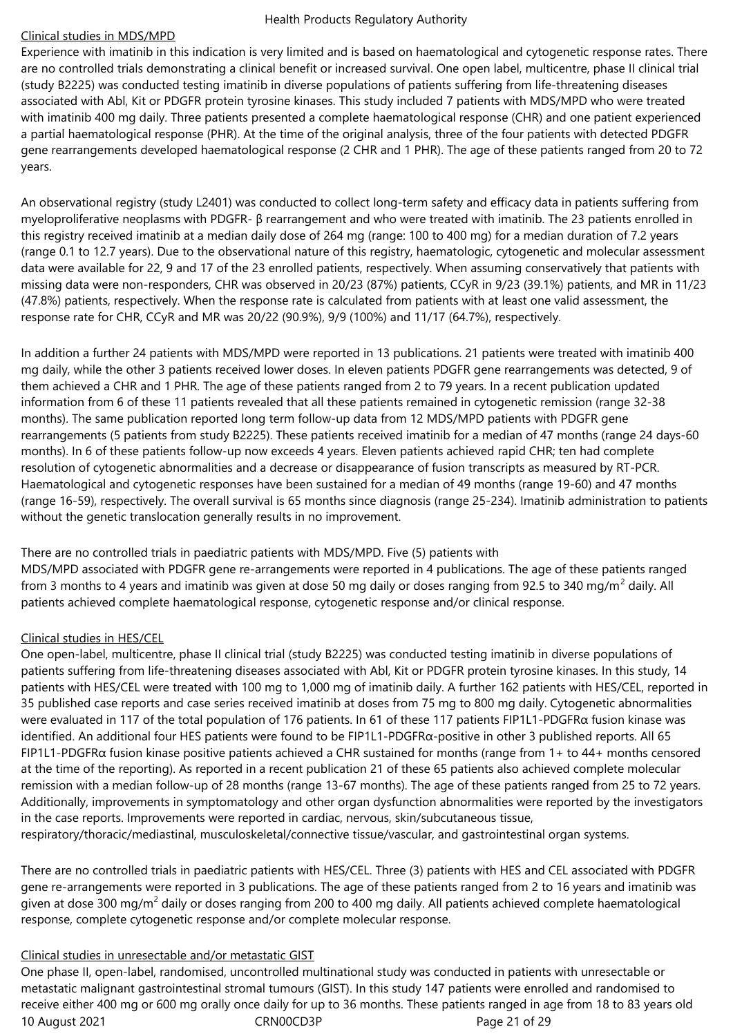#### Clinical studies in MDS/MPD

Experience with imatinib in this indication is very limited and is based on haematological and cytogenetic response rates. There are no controlled trials demonstrating a clinical benefit or increased survival. One open label, multicentre, phase II clinical trial (study B2225) was conducted testing imatinib in diverse populations of patients suffering from life-threatening diseases associated with Abl, Kit or PDGFR protein tyrosine kinases. This study included 7 patients with MDS/MPD who were treated with imatinib 400 mg daily. Three patients presented a complete haematological response (CHR) and one patient experienced a partial haematological response (PHR). At the time of the original analysis, three of the four patients with detected PDGFR gene rearrangements developed haematological response (2 CHR and 1 PHR). The age of these patients ranged from 20 to 72 years.

An observational registry (study L2401) was conducted to collect long-term safety and efficacy data in patients suffering from myeloproliferative neoplasms with PDGFR- β rearrangement and who were treated with imatinib. The 23 patients enrolled in this registry received imatinib at a median daily dose of 264 mg (range: 100 to 400 mg) for a median duration of 7.2 years (range 0.1 to 12.7 years). Due to the observational nature of this registry, haematologic, cytogenetic and molecular assessment data were available for 22, 9 and 17 of the 23 enrolled patients, respectively. When assuming conservatively that patients with missing data were non-responders, CHR was observed in 20/23 (87%) patients, CCyR in 9/23 (39.1%) patients, and MR in 11/23 (47.8%) patients, respectively. When the response rate is calculated from patients with at least one valid assessment, the response rate for CHR, CCyR and MR was 20/22 (90.9%), 9/9 (100%) and 11/17 (64.7%), respectively.

In addition a further 24 patients with MDS/MPD were reported in 13 publications. 21 patients were treated with imatinib 400 mg daily, while the other 3 patients received lower doses. In eleven patients PDGFR gene rearrangements was detected, 9 of them achieved a CHR and 1 PHR. The age of these patients ranged from 2 to 79 years. In a recent publication updated information from 6 of these 11 patients revealed that all these patients remained in cytogenetic remission (range 32-38 months). The same publication reported long term follow-up data from 12 MDS/MPD patients with PDGFR gene rearrangements (5 patients from study B2225). These patients received imatinib for a median of 47 months (range 24 days-60 months). In 6 of these patients follow-up now exceeds 4 years. Eleven patients achieved rapid CHR; ten had complete resolution of cytogenetic abnormalities and a decrease or disappearance of fusion transcripts as measured by RT-PCR. Haematological and cytogenetic responses have been sustained for a median of 49 months (range 19-60) and 47 months (range 16-59), respectively. The overall survival is 65 months since diagnosis (range 25-234). Imatinib administration to patients without the genetic translocation generally results in no improvement.

There are no controlled trials in paediatric patients with MDS/MPD. Five (5) patients with

MDS/MPD associated with PDGFR gene re-arrangements were reported in 4 publications. The age of these patients ranged from 3 months to 4 years and imatinib was given at dose 50 mg daily or doses ranging from 92.5 to 340 mg/m $^2$  daily. All patients achieved complete haematological response, cytogenetic response and/or clinical response.

## Clinical studies in HES/CEL

One open-label, multicentre, phase II clinical trial (study B2225) was conducted testing imatinib in diverse populations of patients suffering from life-threatening diseases associated with Abl, Kit or PDGFR protein tyrosine kinases. In this study, 14 patients with HES/CEL were treated with 100 mg to 1,000 mg of imatinib daily. A further 162 patients with HES/CEL, reported in 35 published case reports and case series received imatinib at doses from 75 mg to 800 mg daily. Cytogenetic abnormalities were evaluated in 117 of the total population of 176 patients. In 61 of these 117 patients FIP1L1-PDGFRα fusion kinase was identified. An additional four HES patients were found to be FIP1L1-PDGFRα-positive in other 3 published reports. All 65 FIP1L1-PDGFR $\alpha$  fusion kinase positive patients achieved a CHR sustained for months (range from 1+ to 44+ months censored at the time of the reporting). As reported in a recent publication 21 of these 65 patients also achieved complete molecular remission with a median follow-up of 28 months (range 13-67 months). The age of these patients ranged from 25 to 72 years. Additionally, improvements in symptomatology and other organ dysfunction abnormalities were reported by the investigators in the case reports. Improvements were reported in cardiac, nervous, skin/subcutaneous tissue,

respiratory/thoracic/mediastinal, musculoskeletal/connective tissue/vascular, and gastrointestinal organ systems.

There are no controlled trials in paediatric patients with HES/CEL. Three (3) patients with HES and CEL associated with PDGFR gene re-arrangements were reported in 3 publications. The age of these patients ranged from 2 to 16 years and imatinib was given at dose 300 mg/m<sup>2</sup> daily or doses ranging from 200 to 400 mg daily. All patients achieved complete haematological response, complete cytogenetic response and/or complete molecular response.

## Clinical studies in unresectable and/or metastatic GIST

10 August 2021 **CRNOOCD3P** CRNOOCD3P Page 21 of 29 One phase II, open-label, randomised, uncontrolled multinational study was conducted in patients with unresectable or metastatic malignant gastrointestinal stromal tumours (GIST). In this study 147 patients were enrolled and randomised to receive either 400 mg or 600 mg orally once daily for up to 36 months. These patients ranged in age from 18 to 83 years old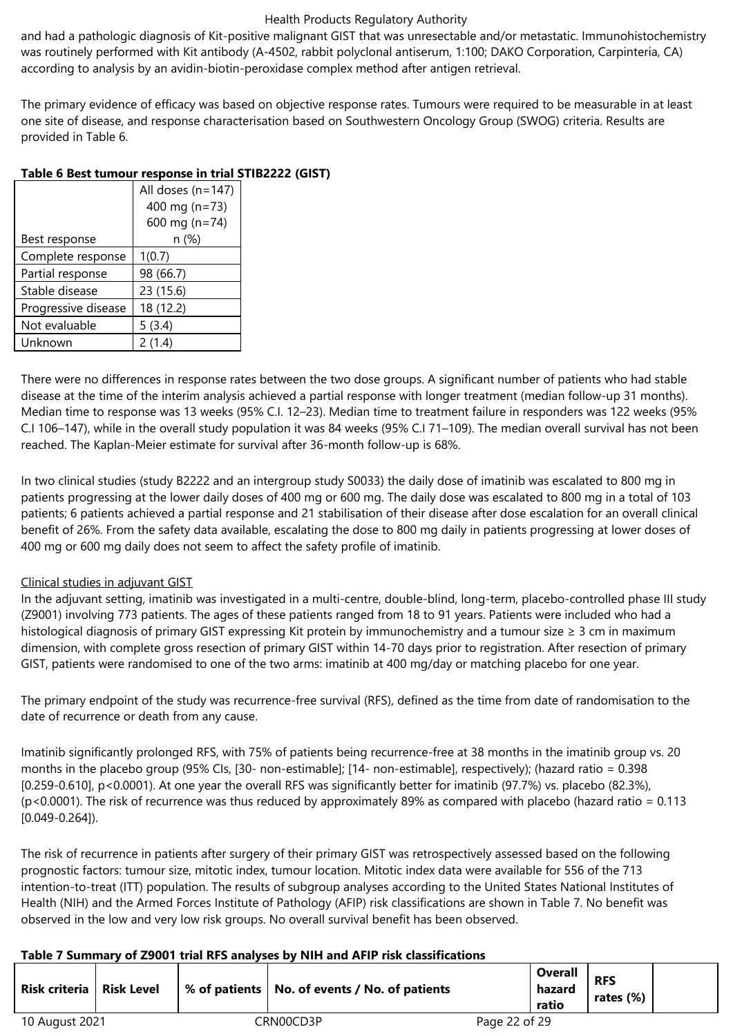and had a pathologic diagnosis of Kit-positive malignant GIST that was unresectable and/or metastatic. Immunohistochemistry was routinely performed with Kit antibody (A-4502, rabbit polyclonal antiserum, 1:100; DAKO Corporation, Carpinteria, CA) according to analysis by an avidin-biotin-peroxidase complex method after antigen retrieval.

The primary evidence of efficacy was based on objective response rates. Tumours were required to be measurable in at least one site of disease, and response characterisation based on Southwestern Oncology Group (SWOG) criteria. Results are provided in Table 6.

|                     | All doses (n=147) |
|---------------------|-------------------|
|                     | 400 mg (n=73)     |
|                     | 600 mg ( $n=74$ ) |
| Best response       | n (%)             |
| Complete response   | 1(0.7)            |
| Partial response    | 98 (66.7)         |
| Stable disease      | 23 (15.6)         |
| Progressive disease | 18 (12.2)         |
| Not evaluable       | 5(3.4)            |
| Unknown             | 2(1.4)            |

## **Table 6 Best tumour response in trial STIB2222 (GIST)**

There were no differences in response rates between the two dose groups. A significant number of patients who had stable disease at the time of the interim analysis achieved a partial response with longer treatment (median follow-up 31 months). Median time to response was 13 weeks (95% C.I. 12–23). Median time to treatment failure in responders was 122 weeks (95% C.I 106–147), while in the overall study population it was 84 weeks (95% C.I 71–109). The median overall survival has not been reached. The Kaplan-Meier estimate for survival after 36-month follow-up is 68%.

In two clinical studies (study B2222 and an intergroup study S0033) the daily dose of imatinib was escalated to 800 mg in patients progressing at the lower daily doses of 400 mg or 600 mg. The daily dose was escalated to 800 mg in a total of 103 patients; 6 patients achieved a partial response and 21 stabilisation of their disease after dose escalation for an overall clinical benefit of 26%. From the safety data available, escalating the dose to 800 mg daily in patients progressing at lower doses of 400 mg or 600 mg daily does not seem to affect the safety profile of imatinib.

## Clinical studies in adjuvant GIST

In the adjuvant setting, imatinib was investigated in a multi-centre, double-blind, long-term, placebo-controlled phase III study (Z9001) involving 773 patients. The ages of these patients ranged from 18 to 91 years. Patients were included who had a histological diagnosis of primary GIST expressing Kit protein by immunochemistry and a tumour size ≥ 3 cm in maximum dimension, with complete gross resection of primary GIST within 14-70 days prior to registration. After resection of primary GIST, patients were randomised to one of the two arms: imatinib at 400 mg/day or matching placebo for one year.

The primary endpoint of the study was recurrence-free survival (RFS), defined as the time from date of randomisation to the date of recurrence or death from any cause.

Imatinib significantly prolonged RFS, with 75% of patients being recurrence-free at 38 months in the imatinib group vs. 20 months in the placebo group (95% CIs, [30- non-estimable]; [14- non-estimable], respectively); (hazard ratio = 0.398 [0.259-0.610], p<0.0001). At one year the overall RFS was significantly better for imatinib (97.7%) vs. placebo (82.3%),  $(p<0.0001)$ . The risk of recurrence was thus reduced by approximately 89% as compared with placebo (hazard ratio = 0.113 [0.049-0.264]).

The risk of recurrence in patients after surgery of their primary GIST was retrospectively assessed based on the following prognostic factors: tumour size, mitotic index, tumour location. Mitotic index data were available for 556 of the 713 intention-to-treat (ITT) population. The results of subgroup analyses according to the United States National Institutes of Health (NIH) and the Armed Forces Institute of Pathology (AFIP) risk classifications are shown in Table 7. No benefit was observed in the low and very low risk groups. No overall survival benefit has been observed.

## **Table 7 Summary of Z9001 trial RFS analyses by NIH and AFIP risk classifications**

| Risk criteria   Risk Level |  | % of patients   No. of events / No. of patients |               | Overall<br>hazard<br>ratio | <b>RFS</b><br>rates (%) |  |
|----------------------------|--|-------------------------------------------------|---------------|----------------------------|-------------------------|--|
| 10 August 2021             |  | CRN00CD3P                                       | Page 22 of 29 |                            |                         |  |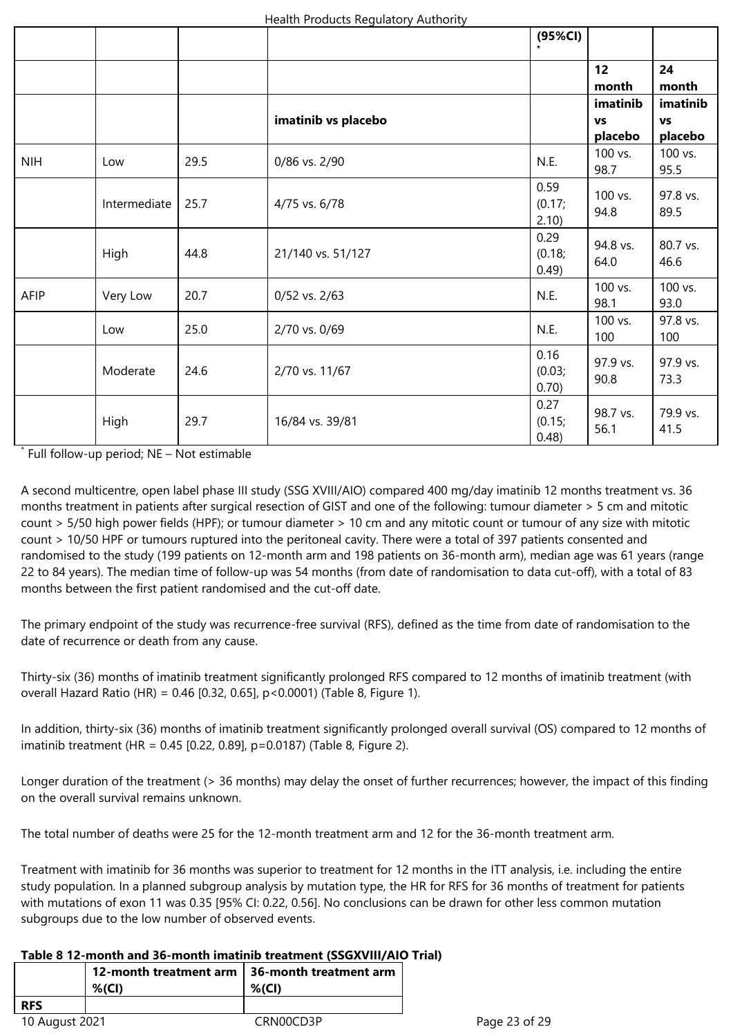|            |              |      |                     | (95%CI)                 |                                  |                                  |
|------------|--------------|------|---------------------|-------------------------|----------------------------------|----------------------------------|
|            |              |      |                     |                         | 12<br>month                      | 24<br>month                      |
|            |              |      | imatinib vs placebo |                         | imatinib<br><b>VS</b><br>placebo | imatinib<br><b>VS</b><br>placebo |
| <b>NIH</b> | Low          | 29.5 | 0/86 vs. 2/90       | N.E.                    | 100 vs.<br>98.7                  | 100 vs.<br>95.5                  |
|            | Intermediate | 25.7 | 4/75 vs. 6/78       | 0.59<br>(0.17;<br>2.10  | $100$ vs.<br>94.8                | 97.8 vs.<br>89.5                 |
|            | High         | 44.8 | 21/140 vs. 51/127   | 0.29<br>(0.18;<br>0.49) | 94.8 vs.<br>64.0                 | 80.7 vs.<br>46.6                 |
| AFIP       | Very Low     | 20.7 | 0/52 vs. 2/63       | N.E.                    | 100 vs.<br>98.1                  | 100 vs.<br>93.0                  |
|            | Low          | 25.0 | 2/70 vs. 0/69       | N.E.                    | 100 vs.<br>100                   | 97.8 vs.<br>100                  |
|            | Moderate     | 24.6 | 2/70 vs. 11/67      | 0.16<br>(0.03;<br>0.70) | 97.9 vs.<br>90.8                 | 97.9 vs.<br>73.3                 |
|            | High         | 29.7 | 16/84 vs. 39/81     | 0.27<br>(0.15;<br>0.48) | 98.7 vs.<br>56.1                 | 79.9 vs.<br>41.5                 |

\* Full follow-up period; NE – Not estimable

A second multicentre, open label phase III study (SSG XVIII/AIO) compared 400 mg/day imatinib 12 months treatment vs. 36 months treatment in patients after surgical resection of GIST and one of the following: tumour diameter > 5 cm and mitotic count > 5/50 high power fields (HPF); or tumour diameter > 10 cm and any mitotic count or tumour of any size with mitotic count > 10/50 HPF or tumours ruptured into the peritoneal cavity. There were a total of 397 patients consented and randomised to the study (199 patients on 12-month arm and 198 patients on 36-month arm), median age was 61 years (range 22 to 84 years). The median time of follow-up was 54 months (from date of randomisation to data cut-off), with a total of 83 months between the first patient randomised and the cut-off date.

The primary endpoint of the study was recurrence-free survival (RFS), defined as the time from date of randomisation to the date of recurrence or death from any cause.

Thirty-six (36) months of imatinib treatment significantly prolonged RFS compared to 12 months of imatinib treatment (with overall Hazard Ratio (HR) = 0.46 [0.32, 0.65], p<0.0001) (Table 8, Figure 1).

In addition, thirty-six (36) months of imatinib treatment significantly prolonged overall survival (OS) compared to 12 months of imatinib treatment (HR = 0.45 [0.22, 0.89], p=0.0187) (Table 8, Figure 2).

Longer duration of the treatment (> 36 months) may delay the onset of further recurrences; however, the impact of this finding on the overall survival remains unknown.

The total number of deaths were 25 for the 12-month treatment arm and 12 for the 36-month treatment arm.

Treatment with imatinib for 36 months was superior to treatment for 12 months in the ITT analysis, i.e. including the entire study population. In a planned subgroup analysis by mutation type, the HR for RFS for 36 months of treatment for patients with mutations of exon 11 was 0.35 [95% CI: 0.22, 0.56]. No conclusions can be drawn for other less common mutation subgroups due to the low number of observed events.

## **Table 8 12-month and 36-month imatinib treatment (SSGXVIII/AIO Trial)**

|                | 12-month treatment arm   36-month treatment arm |            |  |  |
|----------------|-------------------------------------------------|------------|--|--|
|                | $%$ (CI)                                        | $%$ $(Cl)$ |  |  |
| <b>RFS</b>     |                                                 |            |  |  |
| 10 August 2021 |                                                 | CRN00CD3P  |  |  |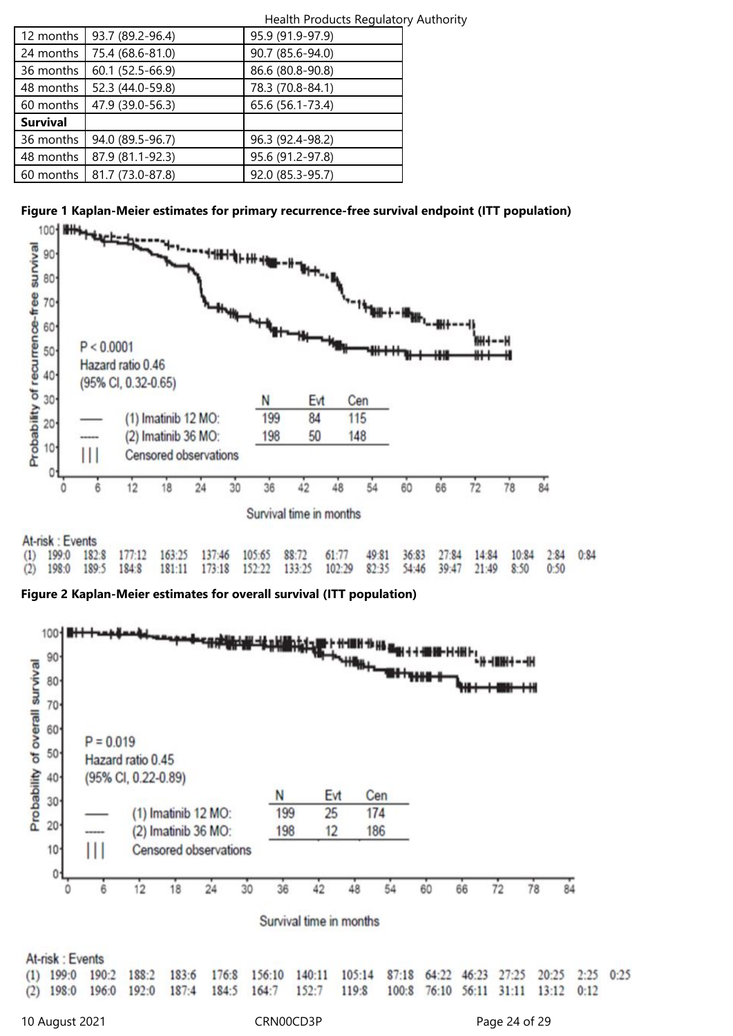| Health Products Regulatory Authority |                  |  |  |  |
|--------------------------------------|------------------|--|--|--|
| 93.7 (89.2-96.4)                     | 95.9 (91.9-97.9) |  |  |  |
| 75.4 (68.6-81.0)                     | 90.7 (85.6-94.0) |  |  |  |
| 60.1 (52.5-66.9)                     | 86.6 (80.8-90.8) |  |  |  |
| 52.3 (44.0-59.8)                     | 78.3 (70.8-84.1) |  |  |  |
| 47.9 (39.0-56.3)                     | 65.6 (56.1-73.4) |  |  |  |
|                                      |                  |  |  |  |
| 94.0 (89.5-96.7)                     | 96.3 (92.4-98.2) |  |  |  |
| 87.9 (81.1-92.3)                     | 95.6 (91.2-97.8) |  |  |  |
| 81.7 (73.0-87.8)                     | 92.0 (85.3-95.7) |  |  |  |
|                                      |                  |  |  |  |





133:25

 $82:35$ 

 $102:29$ 

54:46

 $39:47$ 

21:49

 $8:50$ 

 $0:50$ 

**Figure 2 Kaplan-Meier estimates for overall survival (ITT population)**

152:22

173:18

189:5

198:0

 $(2)$ 

184:8

181:11

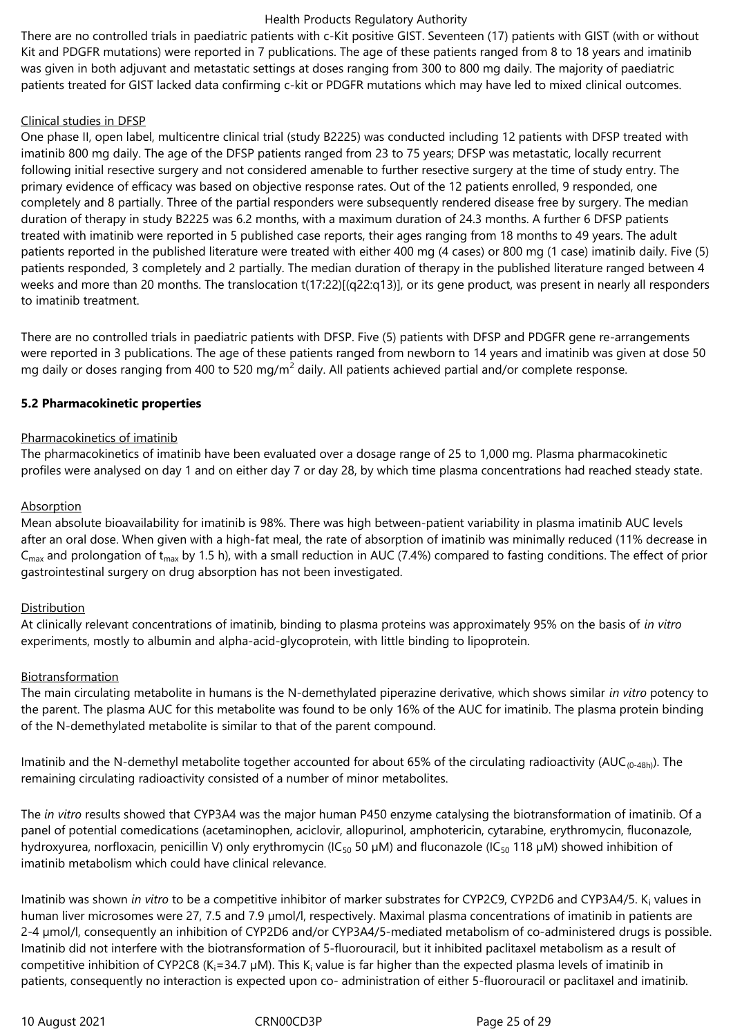There are no controlled trials in paediatric patients with c-Kit positive GIST. Seventeen (17) patients with GIST (with or without Kit and PDGFR mutations) were reported in 7 publications. The age of these patients ranged from 8 to 18 years and imatinib was given in both adjuvant and metastatic settings at doses ranging from 300 to 800 mg daily. The majority of paediatric patients treated for GIST lacked data confirming c-kit or PDGFR mutations which may have led to mixed clinical outcomes.

#### Clinical studies in DFSP

One phase II, open label, multicentre clinical trial (study B2225) was conducted including 12 patients with DFSP treated with imatinib 800 mg daily. The age of the DFSP patients ranged from 23 to 75 years; DFSP was metastatic, locally recurrent following initial resective surgery and not considered amenable to further resective surgery at the time of study entry. The primary evidence of efficacy was based on objective response rates. Out of the 12 patients enrolled, 9 responded, one completely and 8 partially. Three of the partial responders were subsequently rendered disease free by surgery. The median duration of therapy in study B2225 was 6.2 months, with a maximum duration of 24.3 months. A further 6 DFSP patients treated with imatinib were reported in 5 published case reports, their ages ranging from 18 months to 49 years. The adult patients reported in the published literature were treated with either 400 mg (4 cases) or 800 mg (1 case) imatinib daily. Five (5) patients responded, 3 completely and 2 partially. The median duration of therapy in the published literature ranged between 4 weeks and more than 20 months. The translocation t(17:22)[(q22:q13)], or its gene product, was present in nearly all responders to imatinib treatment.

There are no controlled trials in paediatric patients with DFSP. Five (5) patients with DFSP and PDGFR gene re-arrangements were reported in 3 publications. The age of these patients ranged from newborn to 14 years and imatinib was given at dose 50 mg daily or doses ranging from 400 to 520 mg/m<sup>2</sup> daily. All patients achieved partial and/or complete response.

#### **5.2 Pharmacokinetic properties**

## Pharmacokinetics of imatinib

The pharmacokinetics of imatinib have been evaluated over a dosage range of 25 to 1,000 mg. Plasma pharmacokinetic profiles were analysed on day 1 and on either day 7 or day 28, by which time plasma concentrations had reached steady state.

## **Absorption**

Mean absolute bioavailability for imatinib is 98%. There was high between-patient variability in plasma imatinib AUC levels after an oral dose. When given with a high-fat meal, the rate of absorption of imatinib was minimally reduced (11% decrease in  $C_{\text{max}}$  and prolongation of t<sub>max</sub> by 1.5 h), with a small reduction in AUC (7.4%) compared to fasting conditions. The effect of prior gastrointestinal surgery on drug absorption has not been investigated.

## Distribution

At clinically relevant concentrations of imatinib, binding to plasma proteins was approximately 95% on the basis of *in vitro* experiments, mostly to albumin and alpha-acid-glycoprotein, with little binding to lipoprotein.

## Biotransformation

The main circulating metabolite in humans is the N-demethylated piperazine derivative, which shows similar *in vitro* potency to the parent. The plasma AUC for this metabolite was found to be only 16% of the AUC for imatinib. The plasma protein binding of the N-demethylated metabolite is similar to that of the parent compound.

Imatinib and the N-demethyl metabolite together accounted for about 65% of the circulating radioactivity (AUC<sub>(0-48h)</sub>). The remaining circulating radioactivity consisted of a number of minor metabolites.

The *in vitro* results showed that CYP3A4 was the major human P450 enzyme catalysing the biotransformation of imatinib. Of a panel of potential comedications (acetaminophen, aciclovir, allopurinol, amphotericin, cytarabine, erythromycin, fluconazole, hydroxyurea, norfloxacin, penicillin V) only erythromycin (IC<sub>50</sub> 50 µM) and fluconazole (IC<sub>50</sub> 118 µM) showed inhibition of imatinib metabolism which could have clinical relevance.

lmatinib was shown *in vitro* to be a competitive inhibitor of marker substrates for CYP2C9, CYP2D6 and CYP3A4/5. K<sub>i</sub> values in human liver microsomes were 27, 7.5 and 7.9 µmol/l, respectively. Maximal plasma concentrations of imatinib in patients are 2-4 µmol/l, consequently an inhibition of CYP2D6 and/or CYP3A4/5-mediated metabolism of co-administered drugs is possible. Imatinib did not interfere with the biotransformation of 5-fluorouracil, but it inhibited paclitaxel metabolism as a result of competitive inhibition of CYP2C8 (K<sub>i</sub>=34.7 µM). This K<sub>i</sub> value is far higher than the expected plasma levels of imatinib in patients, consequently no interaction is expected upon co- administration of either 5-fluorouracil or paclitaxel and imatinib.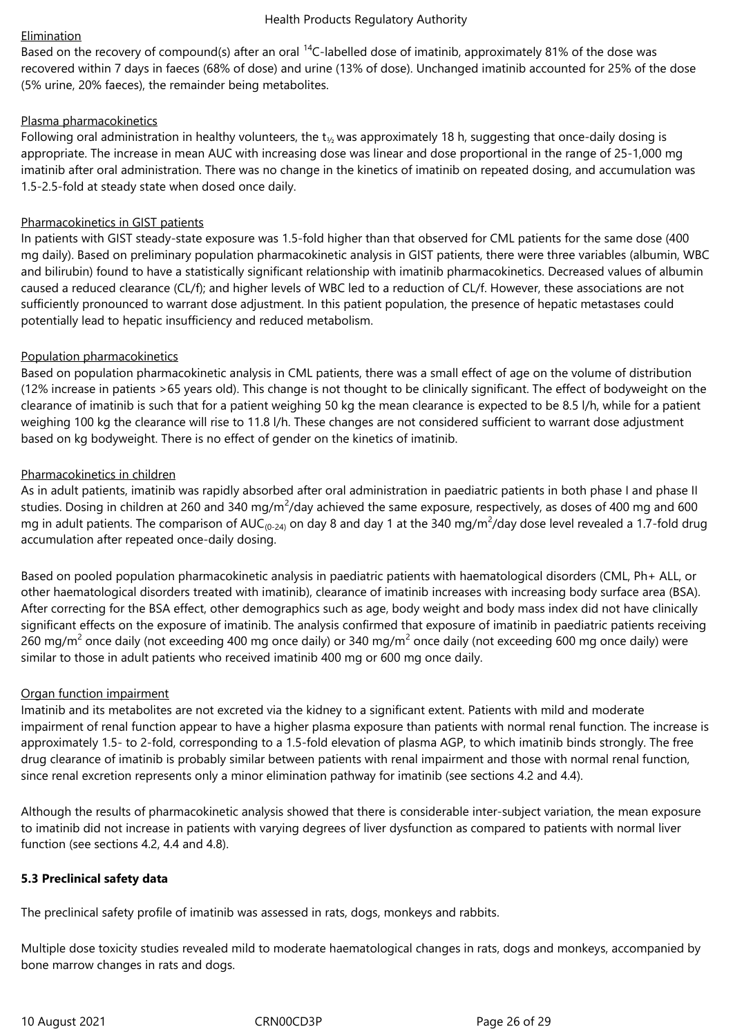## Elimination

Based on the recovery of compound(s) after an oral <sup>14</sup>C-labelled dose of imatinib, approximately 81% of the dose was recovered within 7 days in faeces (68% of dose) and urine (13% of dose). Unchanged imatinib accounted for 25% of the dose (5% urine, 20% faeces), the remainder being metabolites.

## Plasma pharmacokinetics

Following oral administration in healthy volunteers, the  $t_{1/2}$  was approximately 18 h, suggesting that once-daily dosing is appropriate. The increase in mean AUC with increasing dose was linear and dose proportional in the range of 25-1,000 mg imatinib after oral administration. There was no change in the kinetics of imatinib on repeated dosing, and accumulation was 1.5-2.5-fold at steady state when dosed once daily.

## Pharmacokinetics in GIST patients

In patients with GIST steady-state exposure was 1.5-fold higher than that observed for CML patients for the same dose (400 mg daily). Based on preliminary population pharmacokinetic analysis in GIST patients, there were three variables (albumin, WBC and bilirubin) found to have a statistically significant relationship with imatinib pharmacokinetics. Decreased values of albumin caused a reduced clearance (CL/f); and higher levels of WBC led to a reduction of CL/f. However, these associations are not sufficiently pronounced to warrant dose adjustment. In this patient population, the presence of hepatic metastases could potentially lead to hepatic insufficiency and reduced metabolism.

## Population pharmacokinetics

Based on population pharmacokinetic analysis in CML patients, there was a small effect of age on the volume of distribution (12% increase in patients >65 years old). This change is not thought to be clinically significant. The effect of bodyweight on the clearance of imatinib is such that for a patient weighing 50 kg the mean clearance is expected to be 8.5 l/h, while for a patient weighing 100 kg the clearance will rise to 11.8 l/h. These changes are not considered sufficient to warrant dose adjustment based on kg bodyweight. There is no effect of gender on the kinetics of imatinib.

## Pharmacokinetics in children

As in adult patients, imatinib was rapidly absorbed after oral administration in paediatric patients in both phase I and phase II studies. Dosing in children at 260 and 340 mg/m<sup>2</sup>/day achieved the same exposure, respectively, as doses of 400 mg and 600 mg in adult patients. The comparison of AUC<sub>(0-24)</sub> on day 8 and day 1 at the 340 mg/m<sup>2</sup>/day dose level revealed a 1.7-fold drug accumulation after repeated once-daily dosing.

Based on pooled population pharmacokinetic analysis in paediatric patients with haematological disorders (CML, Ph+ ALL, or other haematological disorders treated with imatinib), clearance of imatinib increases with increasing body surface area (BSA). After correcting for the BSA effect, other demographics such as age, body weight and body mass index did not have clinically significant effects on the exposure of imatinib. The analysis confirmed that exposure of imatinib in paediatric patients receiving 260 mg/m<sup>2</sup> once daily (not exceeding 400 mg once daily) or 340 mg/m<sup>2</sup> once daily (not exceeding 600 mg once daily) were similar to those in adult patients who received imatinib 400 mg or 600 mg once daily.

## Organ function impairment

Imatinib and its metabolites are not excreted via the kidney to a significant extent. Patients with mild and moderate impairment of renal function appear to have a higher plasma exposure than patients with normal renal function. The increase is approximately 1.5- to 2-fold, corresponding to a 1.5-fold elevation of plasma AGP, to which imatinib binds strongly. The free drug clearance of imatinib is probably similar between patients with renal impairment and those with normal renal function, since renal excretion represents only a minor elimination pathway for imatinib (see sections 4.2 and 4.4).

Although the results of pharmacokinetic analysis showed that there is considerable inter-subject variation, the mean exposure to imatinib did not increase in patients with varying degrees of liver dysfunction as compared to patients with normal liver function (see sections 4.2, 4.4 and 4.8).

## **5.3 Preclinical safety data**

The preclinical safety profile of imatinib was assessed in rats, dogs, monkeys and rabbits.

Multiple dose toxicity studies revealed mild to moderate haematological changes in rats, dogs and monkeys, accompanied by bone marrow changes in rats and dogs.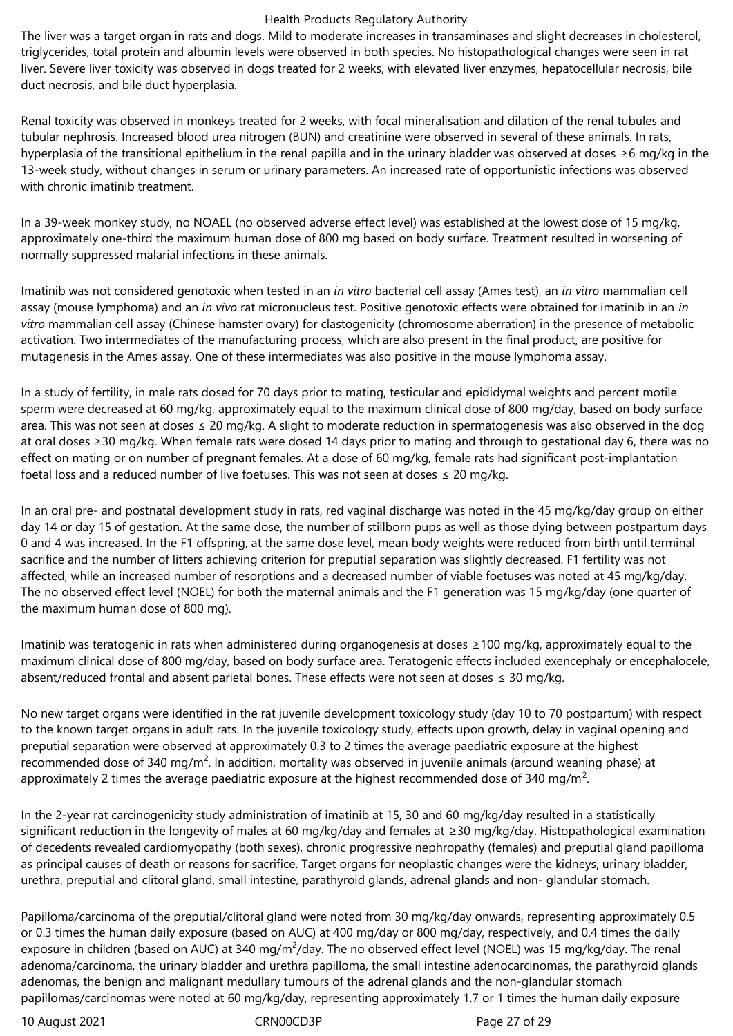The liver was a target organ in rats and dogs. Mild to moderate increases in transaminases and slight decreases in cholesterol, triglycerides, total protein and albumin levels were observed in both species. No histopathological changes were seen in rat liver. Severe liver toxicity was observed in dogs treated for 2 weeks, with elevated liver enzymes, hepatocellular necrosis, bile duct necrosis, and bile duct hyperplasia.

Renal toxicity was observed in monkeys treated for 2 weeks, with focal mineralisation and dilation of the renal tubules and tubular nephrosis. Increased blood urea nitrogen (BUN) and creatinine were observed in several of these animals. In rats, hyperplasia of the transitional epithelium in the renal papilla and in the urinary bladder was observed at doses ≥6 mg/kg in the 13-week study, without changes in serum or urinary parameters. An increased rate of opportunistic infections was observed with chronic imatinib treatment.

In a 39-week monkey study, no NOAEL (no observed adverse effect level) was established at the lowest dose of 15 mg/kg, approximately one-third the maximum human dose of 800 mg based on body surface. Treatment resulted in worsening of normally suppressed malarial infections in these animals.

Imatinib was not considered genotoxic when tested in an *in vitro* bacterial cell assay (Ames test), an *in vitro* mammalian cell assay (mouse lymphoma) and an *in vivo* rat micronucleus test. Positive genotoxic effects were obtained for imatinib in an *in vitro* mammalian cell assay (Chinese hamster ovary) for clastogenicity (chromosome aberration) in the presence of metabolic activation. Two intermediates of the manufacturing process, which are also present in the final product, are positive for mutagenesis in the Ames assay. One of these intermediates was also positive in the mouse lymphoma assay.

In a study of fertility, in male rats dosed for 70 days prior to mating, testicular and epididymal weights and percent motile sperm were decreased at 60 mg/kg, approximately equal to the maximum clinical dose of 800 mg/day, based on body surface area. This was not seen at doses ≤ 20 mg/kg. A slight to moderate reduction in spermatogenesis was also observed in the dog at oral doses ≥30 mg/kg. When female rats were dosed 14 days prior to mating and through to gestational day 6, there was no effect on mating or on number of pregnant females. At a dose of 60 mg/kg, female rats had significant post-implantation foetal loss and a reduced number of live foetuses. This was not seen at doses  $\leq$  20 mg/kg.

In an oral pre- and postnatal development study in rats, red vaginal discharge was noted in the 45 mg/kg/day group on either day 14 or day 15 of gestation. At the same dose, the number of stillborn pups as well as those dying between postpartum days 0 and 4 was increased. In the F1 offspring, at the same dose level, mean body weights were reduced from birth until terminal sacrifice and the number of litters achieving criterion for preputial separation was slightly decreased. F1 fertility was not affected, while an increased number of resorptions and a decreased number of viable foetuses was noted at 45 mg/kg/day. The no observed effect level (NOEL) for both the maternal animals and the F1 generation was 15 mg/kg/day (one quarter of the maximum human dose of 800 mg).

Imatinib was teratogenic in rats when administered during organogenesis at doses ≥100 mg/kg, approximately equal to the maximum clinical dose of 800 mg/day, based on body surface area. Teratogenic effects included exencephaly or encephalocele, absent/reduced frontal and absent parietal bones. These effects were not seen at doses ≤ 30 mg/kg.

No new target organs were identified in the rat juvenile development toxicology study (day 10 to 70 postpartum) with respect to the known target organs in adult rats. In the juvenile toxicology study, effects upon growth, delay in vaginal opening and preputial separation were observed at approximately 0.3 to 2 times the average paediatric exposure at the highest recommended dose of 340 mg/m<sup>2</sup>. In addition, mortality was observed in juvenile animals (around weaning phase) at approximately 2 times the average paediatric exposure at the highest recommended dose of 340 mg/m<sup>2</sup>.

In the 2-year rat carcinogenicity study administration of imatinib at 15, 30 and 60 mg/kg/day resulted in a statistically significant reduction in the longevity of males at 60 mg/kg/day and females at ≥30 mg/kg/day. Histopathological examination of decedents revealed cardiomyopathy (both sexes), chronic progressive nephropathy (females) and preputial gland papilloma as principal causes of death or reasons for sacrifice. Target organs for neoplastic changes were the kidneys, urinary bladder, urethra, preputial and clitoral gland, small intestine, parathyroid glands, adrenal glands and non- glandular stomach.

Papilloma/carcinoma of the preputial/clitoral gland were noted from 30 mg/kg/day onwards, representing approximately 0.5 or 0.3 times the human daily exposure (based on AUC) at 400 mg/day or 800 mg/day, respectively, and 0.4 times the daily exposure in children (based on AUC) at 340 mg/m<sup>2</sup>/day. The no observed effect level (NOEL) was 15 mg/kg/day. The renal adenoma/carcinoma, the urinary bladder and urethra papilloma, the small intestine adenocarcinomas, the parathyroid glands adenomas, the benign and malignant medullary tumours of the adrenal glands and the non-glandular stomach papillomas/carcinomas were noted at 60 mg/kg/day, representing approximately 1.7 or 1 times the human daily exposure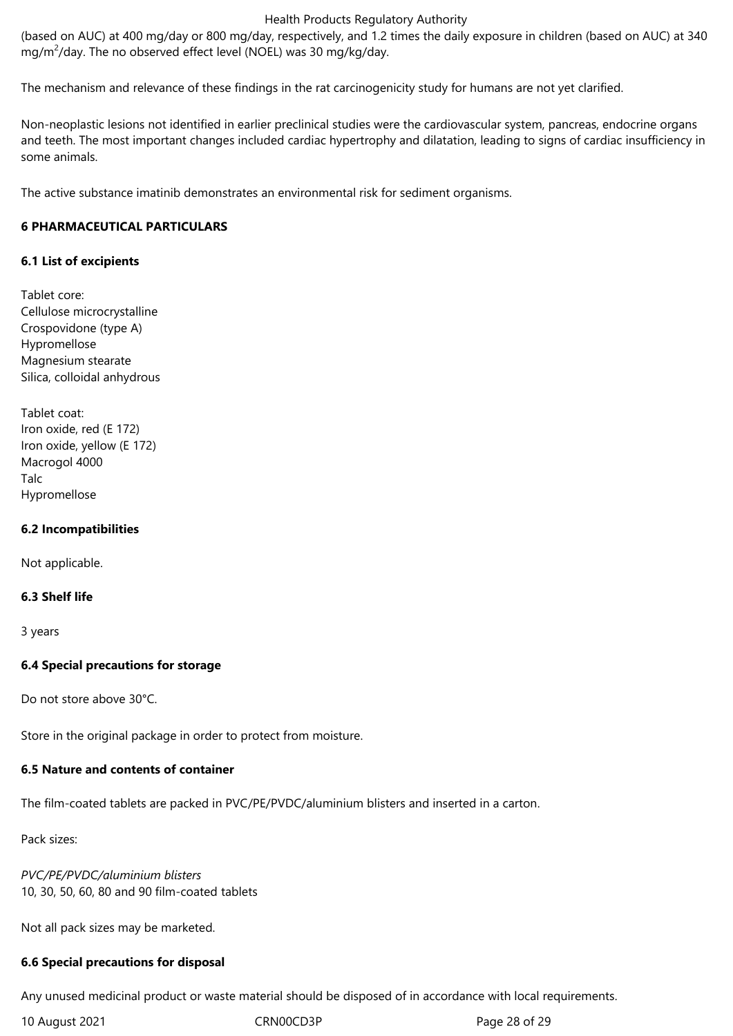(based on AUC) at 400 mg/day or 800 mg/day, respectively, and 1.2 times the daily exposure in children (based on AUC) at 340 mg/m<sup>2</sup>/day. The no observed effect level (NOEL) was 30 mg/kg/day.

The mechanism and relevance of these findings in the rat carcinogenicity study for humans are not yet clarified.

Non-neoplastic lesions not identified in earlier preclinical studies were the cardiovascular system, pancreas, endocrine organs and teeth. The most important changes included cardiac hypertrophy and dilatation, leading to signs of cardiac insufficiency in some animals.

The active substance imatinib demonstrates an environmental risk for sediment organisms.

## **6 PHARMACEUTICAL PARTICULARS**

## **6.1 List of excipients**

Tablet core: Cellulose microcrystalline Crospovidone (type A) Hypromellose Magnesium stearate Silica, colloidal anhydrous

Tablet coat: Iron oxide, red (E 172) Iron oxide, yellow (E 172) Macrogol 4000 Talc Hypromellose

## **6.2 Incompatibilities**

Not applicable.

#### **6.3 Shelf life**

3 years

## **6.4 Special precautions for storage**

Do not store above 30°C.

Store in the original package in order to protect from moisture.

## **6.5 Nature and contents of container**

The film-coated tablets are packed in PVC/PE/PVDC/aluminium blisters and inserted in a carton.

Pack sizes:

*PVC/PE/PVDC/aluminium blisters* 10, 30, 50, 60, 80 and 90 film-coated tablets

Not all pack sizes may be marketed.

#### **6.6 Special precautions for disposal**

Any unused medicinal product or waste material should be disposed of in accordance with local requirements.

10 August 2021 **CRNOOCD3P** CRNOOCD3P Page 28 of 29